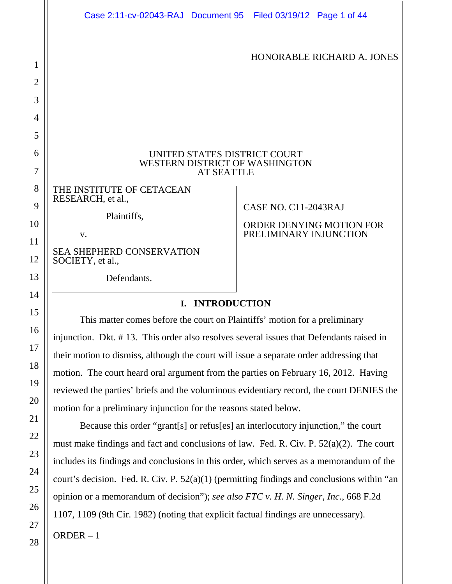|  | Case 2:11-cv-02043-RAJ Document 95 Filed 03/19/12 Page 1 of 44                                       |  |                        |                                 |
|--|------------------------------------------------------------------------------------------------------|--|------------------------|---------------------------------|
|  |                                                                                                      |  |                        | HONORABLE RICHARD A. JONES      |
|  |                                                                                                      |  |                        |                                 |
|  |                                                                                                      |  |                        |                                 |
|  | UNITED STATES DISTRICT COURT<br>WESTERN DISTRICT OF WASHINGTON<br><b>AT SEATTLE</b>                  |  |                        |                                 |
|  | THE INSTITUTE OF CETACEAN<br>RESEARCH, et al.,                                                       |  |                        |                                 |
|  | Plaintiffs,                                                                                          |  | CASE NO. C11-2043RAJ   | <b>ORDER DENYING MOTION FOR</b> |
|  | V.                                                                                                   |  | PRELIMINARY INJUNCTION |                                 |
|  | <b>SEA SHEPHERD CONSERVATION</b><br>SOCIETY, et al.,                                                 |  |                        |                                 |
|  | Defendants.                                                                                          |  |                        |                                 |
|  | <b>I. INTRODUCTION</b><br>This matter comes before the court on Plaintiffs' motion for a preliminary |  |                        |                                 |
|  |                                                                                                      |  |                        |                                 |
|  | injunction. Dkt. #13. This order also resolves several issues that Defendants raised in              |  |                        |                                 |
|  | their motion to dismiss, although the court will issue a separate order addressing that              |  |                        |                                 |
|  | motion. The court heard oral argument from the parties on February 16, 2012. Having                  |  |                        |                                 |
|  | reviewed the parties' briefs and the voluminous evidentiary record, the court DENIES the             |  |                        |                                 |
|  | motion for a preliminary injunction for the reasons stated below.                                    |  |                        |                                 |
|  | Because this order "grant[s] or refus[es] an interlocutory injunction," the court                    |  |                        |                                 |
|  | must make findings and fact and conclusions of law. Fed. R. Civ. P. $52(a)(2)$ . The court           |  |                        |                                 |
|  | includes its findings and conclusions in this order, which serves as a memorandum of the             |  |                        |                                 |
|  | court's decision. Fed. R. Civ. P. $52(a)(1)$ (permitting findings and conclusions within "an         |  |                        |                                 |
|  | opinion or a memorandum of decision"); see also FTC v. H. N. Singer, Inc., 668 F.2d                  |  |                        |                                 |
|  | 1107, 1109 (9th Cir. 1982) (noting that explicit factual findings are unnecessary).                  |  |                        |                                 |
|  | $ORDER - 1$                                                                                          |  |                        |                                 |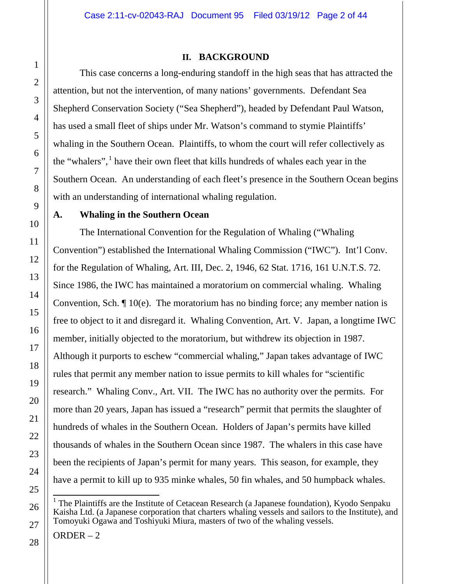### **II. BACKGROUND**

This case concerns a long-enduring standoff in the high seas that has attracted the attention, but not the intervention, of many nations' governments. Defendant Sea Shepherd Conservation Society ("Sea Shepherd"), headed by Defendant Paul Watson, has used a small fleet of ships under Mr. Watson's command to stymie Plaintiffs' whaling in the Southern Ocean. Plaintiffs, to whom the court will refer collectively as the "whalers",  $\frac{1}{h}$  have their own fleet that kills hundreds of whales each year in the Southern Ocean. An understanding of each fleet's presence in the Southern Ocean begins with an understanding of international whaling regulation.

# **A. Whaling in the Southern Ocean**

The International Convention for the Regulation of Whaling ("Whaling Convention") established the International Whaling Commission ("IWC"). Int'l Conv. for the Regulation of Whaling, Art. III, Dec. 2, 1946, 62 Stat. 1716, 161 U.N.T.S. 72. Since 1986, the IWC has maintained a moratorium on commercial whaling. Whaling Convention, Sch. ¶ 10(e). The moratorium has no binding force; any member nation is free to object to it and disregard it. Whaling Convention, Art. V. Japan, a longtime IWC member, initially objected to the moratorium, but withdrew its objection in 1987. Although it purports to eschew "commercial whaling," Japan takes advantage of IWC rules that permit any member nation to issue permits to kill whales for "scientific research." Whaling Conv., Art. VII. The IWC has no authority over the permits. For more than 20 years, Japan has issued a "research" permit that permits the slaughter of hundreds of whales in the Southern Ocean. Holders of Japan's permits have killed thousands of whales in the Southern Ocean since 1987. The whalers in this case have been the recipients of Japan's permit for many years. This season, for example, they have a permit to kill up to 935 minke whales, 50 fin whales, and 50 humpback whales.

 $<sup>1</sup>$  The Plaintiffs are the Institute of Cetacean Research (a Japanese foundation), Kyodo Senpaku</sup> Kaisha Ltd. (a Japanese corporation that charters whaling vessels and sailors to the Institute), and Tomoyuki Ogawa and Toshiyuki Miura, masters of two of the whaling vessels.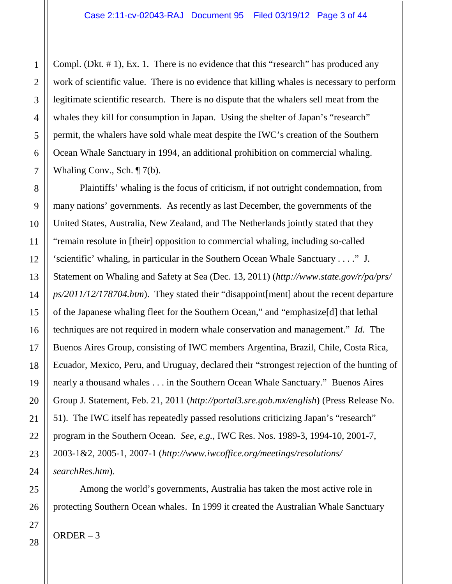Compl. (Dkt. # 1), Ex. 1. There is no evidence that this "research" has produced any work of scientific value. There is no evidence that killing whales is necessary to perform legitimate scientific research. There is no dispute that the whalers sell meat from the whales they kill for consumption in Japan. Using the shelter of Japan's "research" permit, the whalers have sold whale meat despite the IWC's creation of the Southern Ocean Whale Sanctuary in 1994, an additional prohibition on commercial whaling. Whaling Conv., Sch. ¶ 7(b).

Plaintiffs' whaling is the focus of criticism, if not outright condemnation, from many nations' governments. As recently as last December, the governments of the United States, Australia, New Zealand, and The Netherlands jointly stated that they "remain resolute in [their] opposition to commercial whaling, including so-called 'scientific' whaling, in particular in the Southern Ocean Whale Sanctuary . . . ." J. Statement on Whaling and Safety at Sea (Dec. 13, 2011) (*http://www.state.gov/r/pa/prs/ ps/2011/12/178704.htm*). They stated their "disappoint[ment] about the recent departure of the Japanese whaling fleet for the Southern Ocean," and "emphasize[d] that lethal techniques are not required in modern whale conservation and management." *Id.* The Buenos Aires Group, consisting of IWC members Argentina, Brazil, Chile, Costa Rica, Ecuador, Mexico, Peru, and Uruguay, declared their "strongest rejection of the hunting of nearly a thousand whales . . . in the Southern Ocean Whale Sanctuary." Buenos Aires Group J. Statement, Feb. 21, 2011 (*http://portal3.sre.gob.mx/english*) (Press Release No. 51). The IWC itself has repeatedly passed resolutions criticizing Japan's "research" program in the Southern Ocean. *See*, *e.g.*, IWC Res. Nos. 1989-3, 1994-10, 2001-7, 2003-1&2, 2005-1, 2007-1 (*http://www.iwcoffice.org/meetings/resolutions/ searchRes.htm*).

Among the world's governments, Australia has taken the most active role in protecting Southern Ocean whales. In 1999 it created the Australian Whale Sanctuary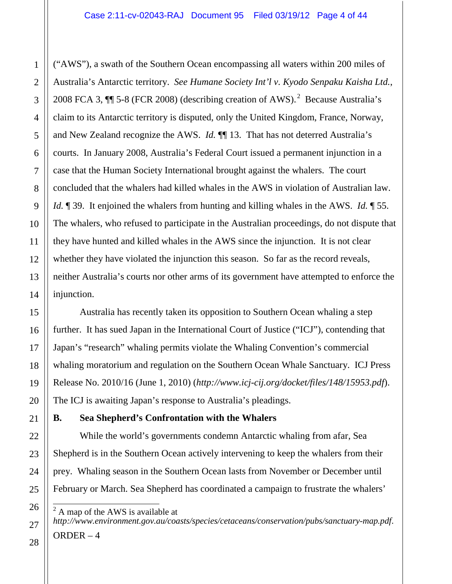("AWS"), a swath of the Southern Ocean encompassing all waters within 200 miles of Australia's Antarctic territory. *See Humane Society Int'l v. Kyodo Senpaku Kaisha Ltd.*, 2008 FCA 3,  $\P$  5-8 (FCR 2008) (describing creation of AWS).<sup>2</sup> Because Australia's claim to its Antarctic territory is disputed, only the United Kingdom, France, Norway, and New Zealand recognize the AWS. *Id.* ¶¶ 13. That has not deterred Australia's courts. In January 2008, Australia's Federal Court issued a permanent injunction in a case that the Human Society International brought against the whalers. The court concluded that the whalers had killed whales in the AWS in violation of Australian law. *Id.* ¶ 39. It enjoined the whalers from hunting and killing whales in the AWS. *Id.* ¶ 55. The whalers, who refused to participate in the Australian proceedings, do not dispute that they have hunted and killed whales in the AWS since the injunction. It is not clear whether they have violated the injunction this season. So far as the record reveals, neither Australia's courts nor other arms of its government have attempted to enforce the injunction.

Australia has recently taken its opposition to Southern Ocean whaling a step further. It has sued Japan in the International Court of Justice ("ICJ"), contending that Japan's "research" whaling permits violate the Whaling Convention's commercial whaling moratorium and regulation on the Southern Ocean Whale Sanctuary. ICJ Press Release No. 2010/16 (June 1, 2010) (*http://www.icj-cij.org/docket/files/148/15953.pdf*). The ICJ is awaiting Japan's response to Australia's pleadings.

# **B. Sea Shepherd's Confrontation with the Whalers**

While the world's governments condemn Antarctic whaling from afar, Sea Shepherd is in the Southern Ocean actively intervening to keep the whalers from their prey. Whaling season in the Southern Ocean lasts from November or December until February or March. Sea Shepherd has coordinated a campaign to frustrate the whalers'

 $2$  A map of the AWS is available at *http://www.environment.gov.au/coasts/species/cetaceans/conservation/pubs/sanctuary-map.pdf*.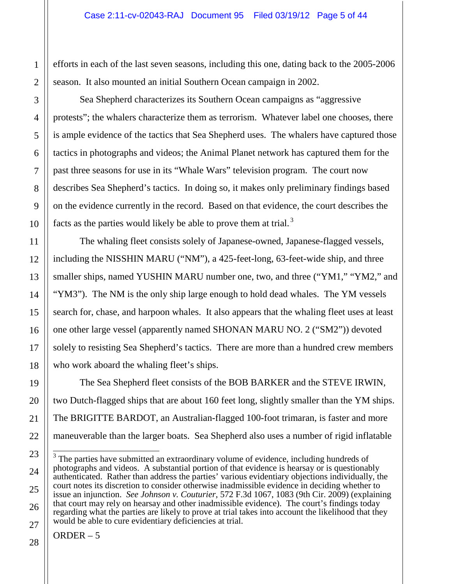efforts in each of the last seven seasons, including this one, dating back to the 2005-2006 season. It also mounted an initial Southern Ocean campaign in 2002.

Sea Shepherd characterizes its Southern Ocean campaigns as "aggressive protests"; the whalers characterize them as terrorism. Whatever label one chooses, there is ample evidence of the tactics that Sea Shepherd uses. The whalers have captured those tactics in photographs and videos; the Animal Planet network has captured them for the past three seasons for use in its "Whale Wars" television program. The court now describes Sea Shepherd's tactics. In doing so, it makes only preliminary findings based on the evidence currently in the record. Based on that evidence, the court describes the facts as the parties would likely be able to prove them at trial.<sup>3</sup>

The whaling fleet consists solely of Japanese-owned, Japanese-flagged vessels, including the NISSHIN MARU ("NM"), a 425-feet-long, 63-feet-wide ship, and three smaller ships, named YUSHIN MARU number one, two, and three ("YM1," "YM2," and "YM3"). The NM is the only ship large enough to hold dead whales. The YM vessels search for, chase, and harpoon whales. It also appears that the whaling fleet uses at least one other large vessel (apparently named SHONAN MARU NO. 2 ("SM2")) devoted solely to resisting Sea Shepherd's tactics. There are more than a hundred crew members who work aboard the whaling fleet's ships.

The Sea Shepherd fleet consists of the BOB BARKER and the STEVE IRWIN, two Dutch-flagged ships that are about 160 feet long, slightly smaller than the YM ships. The BRIGITTE BARDOT, an Australian-flagged 100-foot trimaran, is faster and more maneuverable than the larger boats. Sea Shepherd also uses a number of rigid inflatable

<sup>&</sup>lt;sup>3</sup> The parties have submitted an extraordinary volume of evidence, including hundreds of photographs and videos. A substantial portion of that evidence is hearsay or is questionably authenticated. Rather than address the parties' various evidentiary objections individually, the court notes its discretion to consider otherwise inadmissible evidence in deciding whether to issue an injunction. *See Johnson v. Couturier*, 572 F.3d 1067, 1083 (9th Cir. 2009) (explaining that court may rely on hearsay and other inadmissible evidence). The court's findings today regarding what the parties are likely to prove at trial takes into account the likelihood that they would be able to cure evidentiary deficiencies at trial.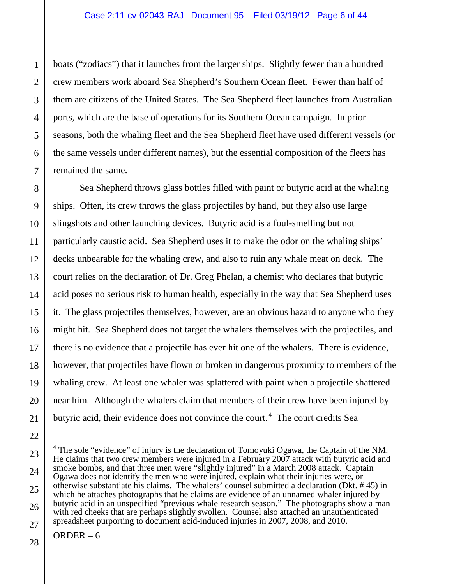boats ("zodiacs") that it launches from the larger ships. Slightly fewer than a hundred crew members work aboard Sea Shepherd's Southern Ocean fleet. Fewer than half of them are citizens of the United States. The Sea Shepherd fleet launches from Australian ports, which are the base of operations for its Southern Ocean campaign. In prior seasons, both the whaling fleet and the Sea Shepherd fleet have used different vessels (or the same vessels under different names), but the essential composition of the fleets has remained the same.

Sea Shepherd throws glass bottles filled with paint or butyric acid at the whaling ships. Often, its crew throws the glass projectiles by hand, but they also use large slingshots and other launching devices. Butyric acid is a foul-smelling but not particularly caustic acid. Sea Shepherd uses it to make the odor on the whaling ships' decks unbearable for the whaling crew, and also to ruin any whale meat on deck. The court relies on the declaration of Dr. Greg Phelan, a chemist who declares that butyric acid poses no serious risk to human health, especially in the way that Sea Shepherd uses it. The glass projectiles themselves, however, are an obvious hazard to anyone who they might hit. Sea Shepherd does not target the whalers themselves with the projectiles, and there is no evidence that a projectile has ever hit one of the whalers. There is evidence, however, that projectiles have flown or broken in dangerous proximity to members of the whaling crew. At least one whaler was splattered with paint when a projectile shattered near him. Although the whalers claim that members of their crew have been injured by butyric acid, their evidence does not convince the court.<sup>4</sup> The court credits Sea

<sup>&</sup>lt;sup>4</sup> The sole "evidence" of injury is the declaration of Tomoyuki Ogawa, the Captain of the NM. He claims that two crew members were injured in a February 2007 attack with butyric acid and smoke bombs, and that three men were "slightly injured" in a March 2008 attack. Captain Ogawa does not identify the men who were injured, explain what their injuries were, or otherwise substantiate his claims. The whalers' counsel submitted a declaration (Dkt. # 45) in which he attaches photographs that he claims are evidence of an unnamed whaler injured by butyric acid in an unspecified "previous whale research season." The photographs show a man with red cheeks that are perhaps slightly swollen. Counsel also attached an unauthenticated spreadsheet purporting to document acid-induced injuries in 2007, 2008, and 2010.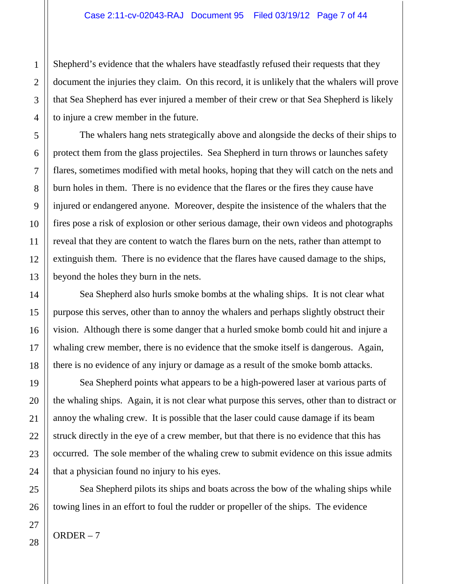Shepherd's evidence that the whalers have steadfastly refused their requests that they document the injuries they claim. On this record, it is unlikely that the whalers will prove that Sea Shepherd has ever injured a member of their crew or that Sea Shepherd is likely to injure a crew member in the future.

The whalers hang nets strategically above and alongside the decks of their ships to protect them from the glass projectiles. Sea Shepherd in turn throws or launches safety flares, sometimes modified with metal hooks, hoping that they will catch on the nets and burn holes in them. There is no evidence that the flares or the fires they cause have injured or endangered anyone. Moreover, despite the insistence of the whalers that the fires pose a risk of explosion or other serious damage, their own videos and photographs reveal that they are content to watch the flares burn on the nets, rather than attempt to extinguish them. There is no evidence that the flares have caused damage to the ships, beyond the holes they burn in the nets.

Sea Shepherd also hurls smoke bombs at the whaling ships. It is not clear what purpose this serves, other than to annoy the whalers and perhaps slightly obstruct their vision. Although there is some danger that a hurled smoke bomb could hit and injure a whaling crew member, there is no evidence that the smoke itself is dangerous. Again, there is no evidence of any injury or damage as a result of the smoke bomb attacks.

Sea Shepherd points what appears to be a high-powered laser at various parts of the whaling ships. Again, it is not clear what purpose this serves, other than to distract or annoy the whaling crew. It is possible that the laser could cause damage if its beam struck directly in the eye of a crew member, but that there is no evidence that this has occurred. The sole member of the whaling crew to submit evidence on this issue admits that a physician found no injury to his eyes.

Sea Shepherd pilots its ships and boats across the bow of the whaling ships while towing lines in an effort to foul the rudder or propeller of the ships. The evidence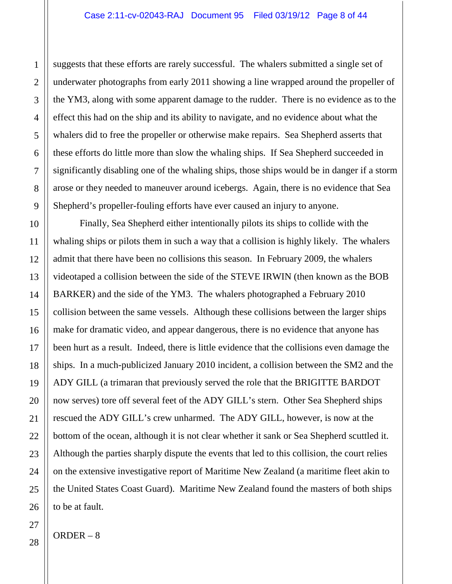suggests that these efforts are rarely successful. The whalers submitted a single set of underwater photographs from early 2011 showing a line wrapped around the propeller of the YM3, along with some apparent damage to the rudder. There is no evidence as to the effect this had on the ship and its ability to navigate, and no evidence about what the whalers did to free the propeller or otherwise make repairs. Sea Shepherd asserts that these efforts do little more than slow the whaling ships. If Sea Shepherd succeeded in significantly disabling one of the whaling ships, those ships would be in danger if a storm arose or they needed to maneuver around icebergs. Again, there is no evidence that Sea Shepherd's propeller-fouling efforts have ever caused an injury to anyone.

Finally, Sea Shepherd either intentionally pilots its ships to collide with the whaling ships or pilots them in such a way that a collision is highly likely. The whalers admit that there have been no collisions this season. In February 2009, the whalers videotaped a collision between the side of the STEVE IRWIN (then known as the BOB BARKER) and the side of the YM3. The whalers photographed a February 2010 collision between the same vessels. Although these collisions between the larger ships make for dramatic video, and appear dangerous, there is no evidence that anyone has been hurt as a result. Indeed, there is little evidence that the collisions even damage the ships. In a much-publicized January 2010 incident, a collision between the SM2 and the ADY GILL (a trimaran that previously served the role that the BRIGITTE BARDOT now serves) tore off several feet of the ADY GILL's stern. Other Sea Shepherd ships rescued the ADY GILL's crew unharmed. The ADY GILL, however, is now at the bottom of the ocean, although it is not clear whether it sank or Sea Shepherd scuttled it. Although the parties sharply dispute the events that led to this collision, the court relies on the extensive investigative report of Maritime New Zealand (a maritime fleet akin to the United States Coast Guard). Maritime New Zealand found the masters of both ships to be at fault.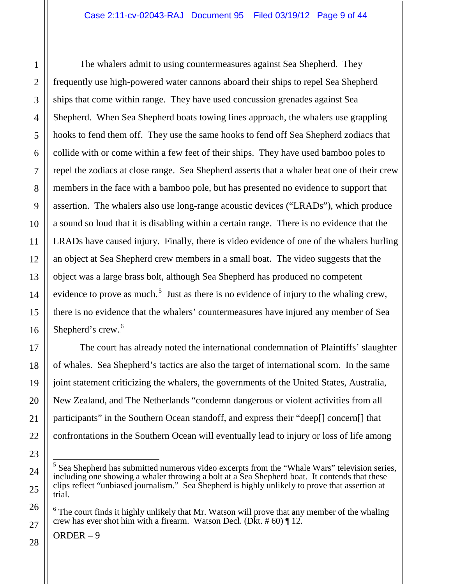The whalers admit to using countermeasures against Sea Shepherd. They frequently use high-powered water cannons aboard their ships to repel Sea Shepherd ships that come within range. They have used concussion grenades against Sea Shepherd. When Sea Shepherd boats towing lines approach, the whalers use grappling hooks to fend them off. They use the same hooks to fend off Sea Shepherd zodiacs that collide with or come within a few feet of their ships. They have used bamboo poles to repel the zodiacs at close range. Sea Shepherd asserts that a whaler beat one of their crew members in the face with a bamboo pole, but has presented no evidence to support that assertion. The whalers also use long-range acoustic devices ("LRADs"), which produce a sound so loud that it is disabling within a certain range. There is no evidence that the LRADs have caused injury. Finally, there is video evidence of one of the whalers hurling an object at Sea Shepherd crew members in a small boat. The video suggests that the object was a large brass bolt, although Sea Shepherd has produced no competent evidence to prove as much.<sup>5</sup> Just as there is no evidence of injury to the whaling crew, there is no evidence that the whalers' countermeasures have injured any member of Sea Shepherd's crew. $<sup>6</sup>$ </sup>

The court has already noted the international condemnation of Plaintiffs' slaughter of whales. Sea Shepherd's tactics are also the target of international scorn. In the same joint statement criticizing the whalers, the governments of the United States, Australia, New Zealand, and The Netherlands "condemn dangerous or violent activities from all participants" in the Southern Ocean standoff, and express their "deep[] concern[] that confrontations in the Southern Ocean will eventually lead to injury or loss of life among

 $<sup>5</sup>$  Sea Shepherd has submitted numerous video excerpts from the "Whale Wars" television series,</sup> including one showing a whaler throwing a bolt at a Sea Shepherd boat. It contends that these clips reflect "unbiased journalism." Sea Shepherd is highly unlikely to prove that assertion at trial.

 $6$  The court finds it highly unlikely that Mr. Watson will prove that any member of the whaling crew has ever shot him with a firearm. Watson Decl. (Dkt.  $\# 60$ )  $\P$  12.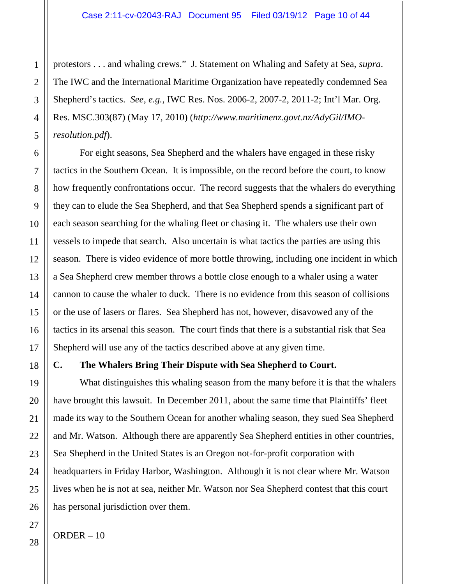protestors . . . and whaling crews." J. Statement on Whaling and Safety at Sea, *supra*. The IWC and the International Maritime Organization have repeatedly condemned Sea Shepherd's tactics. *See*, *e.g.*, IWC Res. Nos. 2006-2, 2007-2, 2011-2; Int'l Mar. Org. Res. MSC.303(87) (May 17, 2010) (*http://www.maritimenz.govt.nz/AdyGil/IMOresolution.pdf*).

For eight seasons, Sea Shepherd and the whalers have engaged in these risky tactics in the Southern Ocean. It is impossible, on the record before the court, to know how frequently confrontations occur. The record suggests that the whalers do everything they can to elude the Sea Shepherd, and that Sea Shepherd spends a significant part of each season searching for the whaling fleet or chasing it. The whalers use their own vessels to impede that search. Also uncertain is what tactics the parties are using this season. There is video evidence of more bottle throwing, including one incident in which a Sea Shepherd crew member throws a bottle close enough to a whaler using a water cannon to cause the whaler to duck. There is no evidence from this season of collisions or the use of lasers or flares. Sea Shepherd has not, however, disavowed any of the tactics in its arsenal this season. The court finds that there is a substantial risk that Sea Shepherd will use any of the tactics described above at any given time.

### **C. The Whalers Bring Their Dispute with Sea Shepherd to Court.**

What distinguishes this whaling season from the many before it is that the whalers have brought this lawsuit. In December 2011, about the same time that Plaintiffs' fleet made its way to the Southern Ocean for another whaling season, they sued Sea Shepherd and Mr. Watson. Although there are apparently Sea Shepherd entities in other countries, Sea Shepherd in the United States is an Oregon not-for-profit corporation with headquarters in Friday Harbor, Washington. Although it is not clear where Mr. Watson lives when he is not at sea, neither Mr. Watson nor Sea Shepherd contest that this court has personal jurisdiction over them.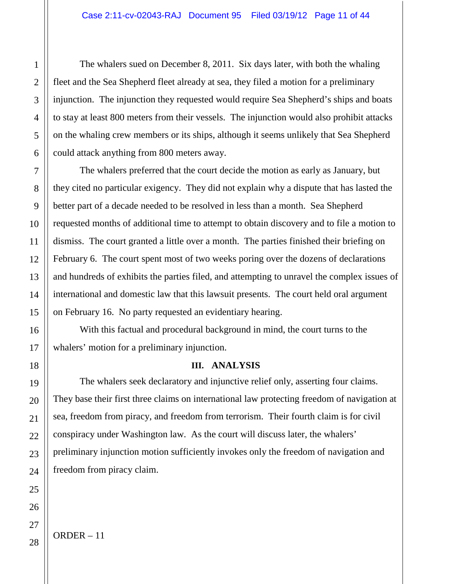The whalers sued on December 8, 2011. Six days later, with both the whaling fleet and the Sea Shepherd fleet already at sea, they filed a motion for a preliminary injunction. The injunction they requested would require Sea Shepherd's ships and boats to stay at least 800 meters from their vessels. The injunction would also prohibit attacks on the whaling crew members or its ships, although it seems unlikely that Sea Shepherd could attack anything from 800 meters away.

The whalers preferred that the court decide the motion as early as January, but they cited no particular exigency. They did not explain why a dispute that has lasted the better part of a decade needed to be resolved in less than a month. Sea Shepherd requested months of additional time to attempt to obtain discovery and to file a motion to dismiss. The court granted a little over a month. The parties finished their briefing on February 6. The court spent most of two weeks poring over the dozens of declarations and hundreds of exhibits the parties filed, and attempting to unravel the complex issues of international and domestic law that this lawsuit presents. The court held oral argument on February 16. No party requested an evidentiary hearing.

With this factual and procedural background in mind, the court turns to the whalers' motion for a preliminary injunction.

### **III. ANALYSIS**

The whalers seek declaratory and injunctive relief only, asserting four claims. They base their first three claims on international law protecting freedom of navigation at sea, freedom from piracy, and freedom from terrorism. Their fourth claim is for civil conspiracy under Washington law. As the court will discuss later, the whalers' preliminary injunction motion sufficiently invokes only the freedom of navigation and freedom from piracy claim.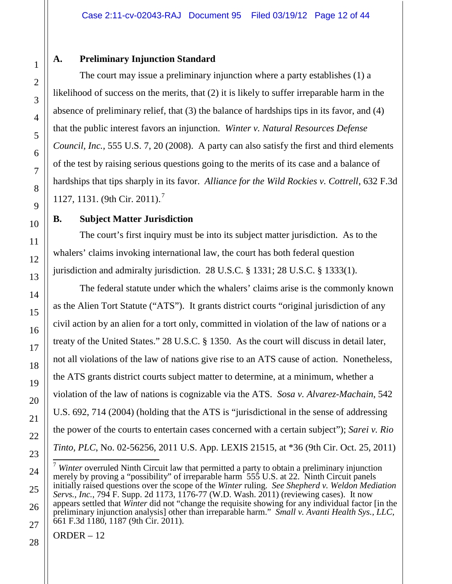# **A. Preliminary Injunction Standard**

The court may issue a preliminary injunction where a party establishes (1) a likelihood of success on the merits, that (2) it is likely to suffer irreparable harm in the absence of preliminary relief, that (3) the balance of hardships tips in its favor, and (4) that the public interest favors an injunction. *Winter v. Natural Resources Defense Council, Inc.*, 555 U.S. 7, 20 (2008). A party can also satisfy the first and third elements of the test by raising serious questions going to the merits of its case and a balance of hardships that tips sharply in its favor. *Alliance for the Wild Rockies v. Cottrell*, 632 F.3d 1127, 1131. (9th Cir. 2011).<sup>7</sup>

# **B. Subject Matter Jurisdiction**

The court's first inquiry must be into its subject matter jurisdiction. As to the whalers' claims invoking international law, the court has both federal question jurisdiction and admiralty jurisdiction. 28 U.S.C. § 1331; 28 U.S.C. § 1333(1).

The federal statute under which the whalers' claims arise is the commonly known as the Alien Tort Statute ("ATS"). It grants district courts "original jurisdiction of any civil action by an alien for a tort only, committed in violation of the law of nations or a treaty of the United States." 28 U.S.C. § 1350. As the court will discuss in detail later, not all violations of the law of nations give rise to an ATS cause of action. Nonetheless, the ATS grants district courts subject matter to determine, at a minimum, whether a violation of the law of nations is cognizable via the ATS. *Sosa v. Alvarez-Machain*, 542 U.S. 692, 714 (2004) (holding that the ATS is "jurisdictional in the sense of addressing the power of the courts to entertain cases concerned with a certain subject"); *Sarei v. Rio Tinto, PLC*, No. 02-56256, 2011 U.S. App. LEXIS 21515, at \*36 (9th Cir. Oct. 25, 2011)

 <sup>7</sup> *Winter* overruled Ninth Circuit law that permitted a party to obtain a preliminary injunction merely by proving a "possibility" of irreparable harm 555 U.S. at 22. Ninth Circuit panels initially raised questions over the scope of the *Winter* ruling. *See Shepherd v. Weldon Mediation Servs., Inc., 794 F. Supp. 2d 1173, 1176-77 (W.D. Wash. 2011) (reviewing cases). It now* appears settled that *Winter* did not "change the requisite showing for any individual factor [in the preliminary injunction analysis] other than irreparable harm." *Small v. Avanti Health Sys., LLC*, 661 F.3d 1180, 1187 (9th Cir. 2011).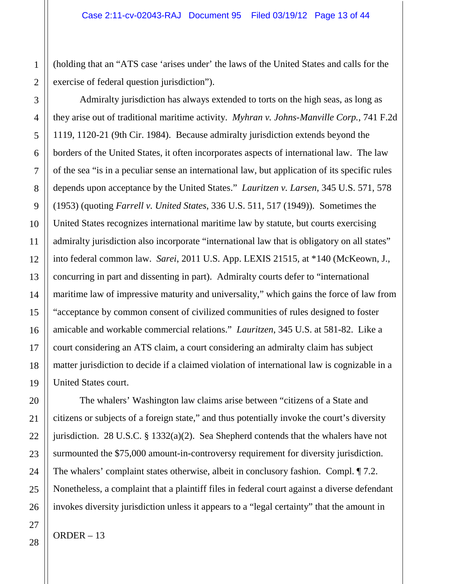(holding that an "ATS case 'arises under' the laws of the United States and calls for the exercise of federal question jurisdiction").

Admiralty jurisdiction has always extended to torts on the high seas, as long as they arise out of traditional maritime activity. *Myhran v. Johns-Manville Corp.*, 741 F.2d 1119, 1120-21 (9th Cir. 1984). Because admiralty jurisdiction extends beyond the borders of the United States, it often incorporates aspects of international law. The law of the sea "is in a peculiar sense an international law, but application of its specific rules depends upon acceptance by the United States." *Lauritzen v. Larsen*, 345 U.S. 571, 578 (1953) (quoting *Farrell v. United States*, 336 U.S. 511, 517 (1949)). Sometimes the United States recognizes international maritime law by statute, but courts exercising admiralty jurisdiction also incorporate "international law that is obligatory on all states" into federal common law. *Sarei*, 2011 U.S. App. LEXIS 21515, at \*140 (McKeown, J., concurring in part and dissenting in part). Admiralty courts defer to "international maritime law of impressive maturity and universality," which gains the force of law from "acceptance by common consent of civilized communities of rules designed to foster amicable and workable commercial relations." *Lauritzen*, 345 U.S. at 581-82. Like a court considering an ATS claim, a court considering an admiralty claim has subject matter jurisdiction to decide if a claimed violation of international law is cognizable in a United States court.

The whalers' Washington law claims arise between "citizens of a State and citizens or subjects of a foreign state," and thus potentially invoke the court's diversity jurisdiction. 28 U.S.C. § 1332(a)(2). Sea Shepherd contends that the whalers have not surmounted the \$75,000 amount-in-controversy requirement for diversity jurisdiction. The whalers' complaint states otherwise, albeit in conclusory fashion. Compl. ¶ 7.2. Nonetheless, a complaint that a plaintiff files in federal court against a diverse defendant invokes diversity jurisdiction unless it appears to a "legal certainty" that the amount in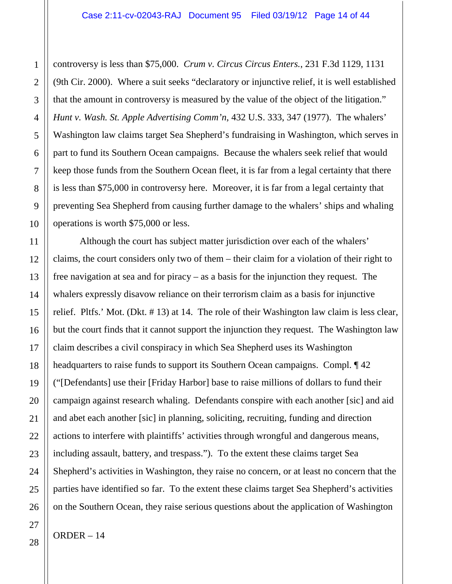controversy is less than \$75,000. *Crum v. Circus Circus Enters.*, 231 F.3d 1129, 1131 (9th Cir. 2000). Where a suit seeks "declaratory or injunctive relief, it is well established that the amount in controversy is measured by the value of the object of the litigation." *Hunt v. Wash. St. Apple Advertising Comm'n*, 432 U.S. 333, 347 (1977). The whalers' Washington law claims target Sea Shepherd's fundraising in Washington, which serves in part to fund its Southern Ocean campaigns. Because the whalers seek relief that would keep those funds from the Southern Ocean fleet, it is far from a legal certainty that there is less than \$75,000 in controversy here. Moreover, it is far from a legal certainty that preventing Sea Shepherd from causing further damage to the whalers' ships and whaling operations is worth \$75,000 or less.

Although the court has subject matter jurisdiction over each of the whalers' claims, the court considers only two of them – their claim for a violation of their right to free navigation at sea and for piracy – as a basis for the injunction they request. The whalers expressly disavow reliance on their terrorism claim as a basis for injunctive relief. Pltfs.' Mot. (Dkt. # 13) at 14. The role of their Washington law claim is less clear, but the court finds that it cannot support the injunction they request. The Washington law claim describes a civil conspiracy in which Sea Shepherd uses its Washington headquarters to raise funds to support its Southern Ocean campaigns. Compl. ¶ 42 ("[Defendants] use their [Friday Harbor] base to raise millions of dollars to fund their campaign against research whaling. Defendants conspire with each another [sic] and aid and abet each another [sic] in planning, soliciting, recruiting, funding and direction actions to interfere with plaintiffs' activities through wrongful and dangerous means, including assault, battery, and trespass."). To the extent these claims target Sea Shepherd's activities in Washington, they raise no concern, or at least no concern that the parties have identified so far. To the extent these claims target Sea Shepherd's activities on the Southern Ocean, they raise serious questions about the application of Washington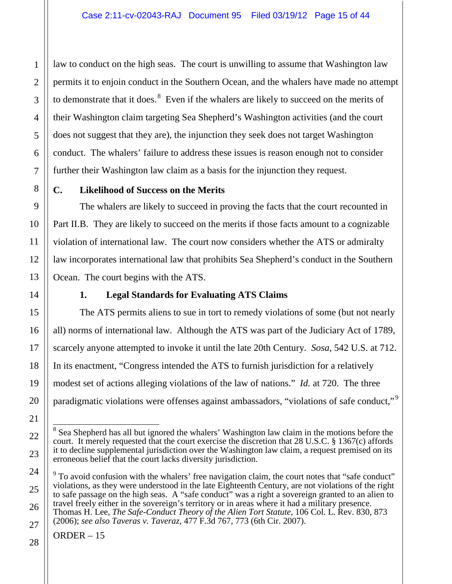law to conduct on the high seas. The court is unwilling to assume that Washington law permits it to enjoin conduct in the Southern Ocean, and the whalers have made no attempt to demonstrate that it does. $<sup>8</sup>$  Even if the whalers are likely to succeed on the merits of</sup> their Washington claim targeting Sea Shepherd's Washington activities (and the court does not suggest that they are), the injunction they seek does not target Washington conduct. The whalers' failure to address these issues is reason enough not to consider further their Washington law claim as a basis for the injunction they request.

# **C. Likelihood of Success on the Merits**

The whalers are likely to succeed in proving the facts that the court recounted in Part II.B. They are likely to succeed on the merits if those facts amount to a cognizable violation of international law. The court now considers whether the ATS or admiralty law incorporates international law that prohibits Sea Shepherd's conduct in the Southern Ocean. The court begins with the ATS.

# **1. Legal Standards for Evaluating ATS Claims**

The ATS permits aliens to sue in tort to remedy violations of some (but not nearly all) norms of international law. Although the ATS was part of the Judiciary Act of 1789, scarcely anyone attempted to invoke it until the late 20th Century. *Sosa*, 542 U.S. at 712. In its enactment, "Congress intended the ATS to furnish jurisdiction for a relatively modest set of actions alleging violations of the law of nations." *Id.* at 720. The three paradigmatic violations were offenses against ambassadors, "violations of safe conduct,"<sup>9</sup>

<sup>&</sup>lt;sup>8</sup> Sea Shepherd has all but ignored the whalers' Washington law claim in the motions before the court. It merely requested that the court exercise the discretion that 28 U.S.C. § 1367(c) affords it to decline supplemental jurisdiction over the Washington law claim, a request premised on its erroneous belief that the court lacks diversity jurisdiction.

 $9$  To avoid confusion with the whalers' free navigation claim, the court notes that "safe conduct" violations, as they were understood in the late Eighteenth Century, are not violations of the right to safe passage on the high seas. A "safe conduct" was a right a sovereign granted to an alien to travel freely either in the sovereign's territory or in areas where it had a military presence. Thomas H. Lee, *The Safe-Conduct Theory of the Alien Tort Statute*, 106 Col. L. Rev. 830, 873 (2006); *see also Taveras v. Taveraz*, 477 F.3d 767, 773 (6th Cir. 2007).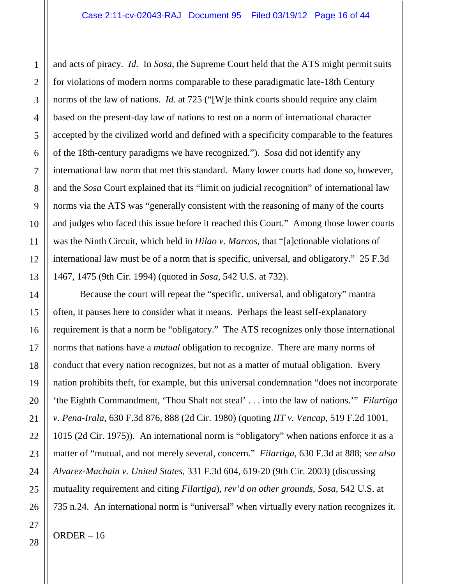and acts of piracy. *Id.* In *Sosa*, the Supreme Court held that the ATS might permit suits for violations of modern norms comparable to these paradigmatic late-18th Century norms of the law of nations. *Id.* at 725 ("[W]e think courts should require any claim based on the present-day law of nations to rest on a norm of international character accepted by the civilized world and defined with a specificity comparable to the features of the 18th-century paradigms we have recognized."). *Sosa* did not identify any international law norm that met this standard. Many lower courts had done so, however, and the *Sosa* Court explained that its "limit on judicial recognition" of international law norms via the ATS was "generally consistent with the reasoning of many of the courts and judges who faced this issue before it reached this Court." Among those lower courts was the Ninth Circuit, which held in *Hilao v. Marcos*, that "[a]ctionable violations of international law must be of a norm that is specific, universal, and obligatory." 25 F.3d 1467, 1475 (9th Cir. 1994) (quoted in *Sosa*, 542 U.S. at 732).

Because the court will repeat the "specific, universal, and obligatory" mantra often, it pauses here to consider what it means. Perhaps the least self-explanatory requirement is that a norm be "obligatory." The ATS recognizes only those international norms that nations have a *mutual* obligation to recognize. There are many norms of conduct that every nation recognizes, but not as a matter of mutual obligation. Every nation prohibits theft, for example, but this universal condemnation "does not incorporate 'the Eighth Commandment, 'Thou Shalt not steal' . . . into the law of nations.'" *Filartiga v. Pena-Irala*, 630 F.3d 876, 888 (2d Cir. 1980) (quoting *IIT v. Vencap*, 519 F.2d 1001, 1015 (2d Cir. 1975)). An international norm is "obligatory" when nations enforce it as a matter of "mutual, and not merely several, concern." *Filartiga*, 630 F.3d at 888; *see also Alvarez-Machain v. United States*, 331 F.3d 604, 619-20 (9th Cir. 2003) (discussing mutuality requirement and citing *Filartiga*), *rev'd on other grounds*, *Sosa*, 542 U.S. at 735 n.24. An international norm is "universal" when virtually every nation recognizes it.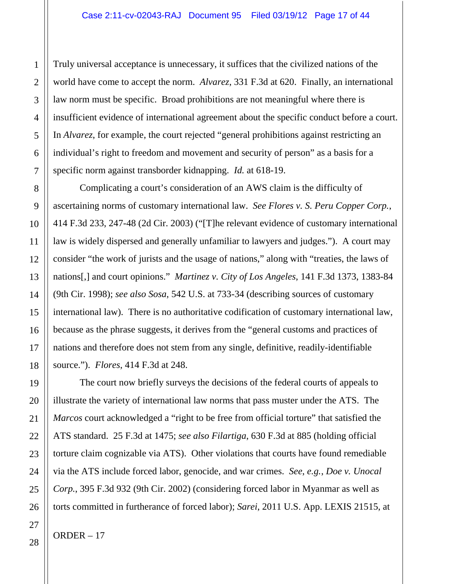Truly universal acceptance is unnecessary, it suffices that the civilized nations of the world have come to accept the norm. *Alvarez*, 331 F.3d at 620. Finally, an international law norm must be specific. Broad prohibitions are not meaningful where there is insufficient evidence of international agreement about the specific conduct before a court. In *Alvarez*, for example, the court rejected "general prohibitions against restricting an individual's right to freedom and movement and security of person" as a basis for a specific norm against transborder kidnapping. *Id.* at 618-19.

Complicating a court's consideration of an AWS claim is the difficulty of ascertaining norms of customary international law. *See Flores v. S. Peru Copper Corp.*, 414 F.3d 233, 247-48 (2d Cir. 2003) ("[T]he relevant evidence of customary international law is widely dispersed and generally unfamiliar to lawyers and judges."). A court may consider "the work of jurists and the usage of nations," along with "treaties, the laws of nations[,] and court opinions." *Martinez v. City of Los Angeles*, 141 F.3d 1373, 1383-84 (9th Cir. 1998); *see also Sosa*, 542 U.S. at 733-34 (describing sources of customary international law). There is no authoritative codification of customary international law, because as the phrase suggests, it derives from the "general customs and practices of nations and therefore does not stem from any single, definitive, readily-identifiable source."). *Flores*, 414 F.3d at 248.

The court now briefly surveys the decisions of the federal courts of appeals to illustrate the variety of international law norms that pass muster under the ATS. The *Marcos* court acknowledged a "right to be free from official torture" that satisfied the ATS standard. 25 F.3d at 1475; *see also Filartiga*, 630 F.3d at 885 (holding official torture claim cognizable via ATS). Other violations that courts have found remediable via the ATS include forced labor, genocide, and war crimes. *See*, *e.g.*, *Doe v. Unocal Corp.*, 395 F.3d 932 (9th Cir. 2002) (considering forced labor in Myanmar as well as torts committed in furtherance of forced labor); *Sarei*, 2011 U.S. App. LEXIS 21515, at

1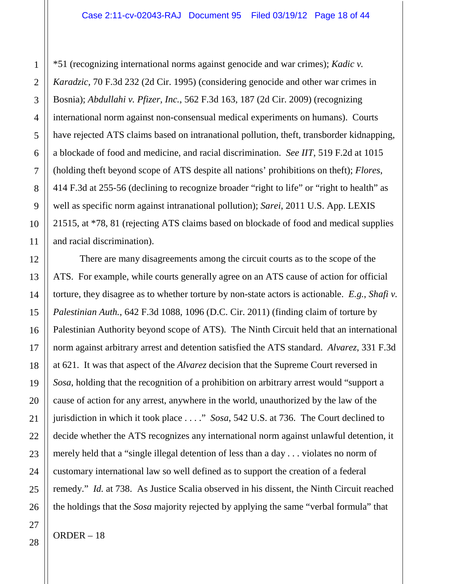\*51 (recognizing international norms against genocide and war crimes); *Kadic v. Karadzic*, 70 F.3d 232 (2d Cir. 1995) (considering genocide and other war crimes in Bosnia); *Abdullahi v. Pfizer, Inc.*, 562 F.3d 163, 187 (2d Cir. 2009) (recognizing international norm against non-consensual medical experiments on humans). Courts have rejected ATS claims based on intranational pollution, theft, transborder kidnapping, a blockade of food and medicine, and racial discrimination. *See IIT*, 519 F.2d at 1015 (holding theft beyond scope of ATS despite all nations' prohibitions on theft); *Flores*, 414 F.3d at 255-56 (declining to recognize broader "right to life" or "right to health" as well as specific norm against intranational pollution); *Sarei*, 2011 U.S. App. LEXIS 21515, at \*78, 81 (rejecting ATS claims based on blockade of food and medical supplies and racial discrimination).

There are many disagreements among the circuit courts as to the scope of the ATS. For example, while courts generally agree on an ATS cause of action for official torture, they disagree as to whether torture by non-state actors is actionable. *E.g.*, *Shafi v. Palestinian Auth.*, 642 F.3d 1088, 1096 (D.C. Cir. 2011) (finding claim of torture by Palestinian Authority beyond scope of ATS). The Ninth Circuit held that an international norm against arbitrary arrest and detention satisfied the ATS standard. *Alvarez*, 331 F.3d at 621. It was that aspect of the *Alvarez* decision that the Supreme Court reversed in *Sosa*, holding that the recognition of a prohibition on arbitrary arrest would "support a cause of action for any arrest, anywhere in the world, unauthorized by the law of the jurisdiction in which it took place . . . ." *Sosa*, 542 U.S. at 736. The Court declined to decide whether the ATS recognizes any international norm against unlawful detention, it merely held that a "single illegal detention of less than a day . . . violates no norm of customary international law so well defined as to support the creation of a federal remedy." *Id.* at 738. As Justice Scalia observed in his dissent, the Ninth Circuit reached the holdings that the *Sosa* majority rejected by applying the same "verbal formula" that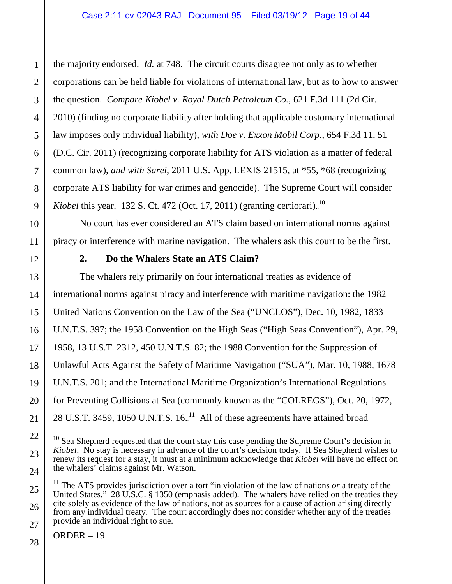the majority endorsed. *Id.* at 748. The circuit courts disagree not only as to whether corporations can be held liable for violations of international law, but as to how to answer the question. *Compare Kiobel v. Royal Dutch Petroleum Co.*, 621 F.3d 111 (2d Cir. 2010) (finding no corporate liability after holding that applicable customary international law imposes only individual liability), *with Doe v. Exxon Mobil Corp.*, 654 F.3d 11, 51 (D.C. Cir. 2011) (recognizing corporate liability for ATS violation as a matter of federal common law), *and with Sarei*, 2011 U.S. App. LEXIS 21515, at \*55, \*68 (recognizing corporate ATS liability for war crimes and genocide). The Supreme Court will consider *Kiobel* this year. 132 S. Ct. 472 (Oct. 17, 2011) (granting certiorari).<sup>10</sup>

No court has ever considered an ATS claim based on international norms against piracy or interference with marine navigation. The whalers ask this court to be the first.

# **2. Do the Whalers State an ATS Claim?**

The whalers rely primarily on four international treaties as evidence of international norms against piracy and interference with maritime navigation: the 1982 United Nations Convention on the Law of the Sea ("UNCLOS"), Dec. 10, 1982, 1833 U.N.T.S. 397; the 1958 Convention on the High Seas ("High Seas Convention"), Apr. 29, 1958, 13 U.S.T. 2312, 450 U.N.T.S. 82; the 1988 Convention for the Suppression of Unlawful Acts Against the Safety of Maritime Navigation ("SUA"), Mar. 10, 1988, 1678 U.N.T.S. 201; and the International Maritime Organization's International Regulations for Preventing Collisions at Sea (commonly known as the "COLREGS"), Oct. 20, 1972, 28 U.S.T. 3459, 1050 U.N.T.S.  $16$ <sup>11</sup> All of these agreements have attained broad

 $10$  Sea Shepherd requested that the court stay this case pending the Supreme Court's decision in *Kiobel*. No stay is necessary in advance of the court's decision today. If Sea Shepherd wishes to renew its request for a stay, it must at a minimum acknowledge that *Kiobel* will have no effect on the whalers' claims against Mr. Watson.

<sup>&</sup>lt;sup>11</sup> The ATS provides jurisdiction over a tort "in violation of the law of nations *or* a treaty of the United States." 28 U.S.C. § 1350 (emphasis added). The whalers have relied on the treaties they cite solely as evidence of the law of nations, not as sources for a cause of action arising directly from any individual treaty. The court accordingly does not consider whether any of the treaties provide an individual right to sue.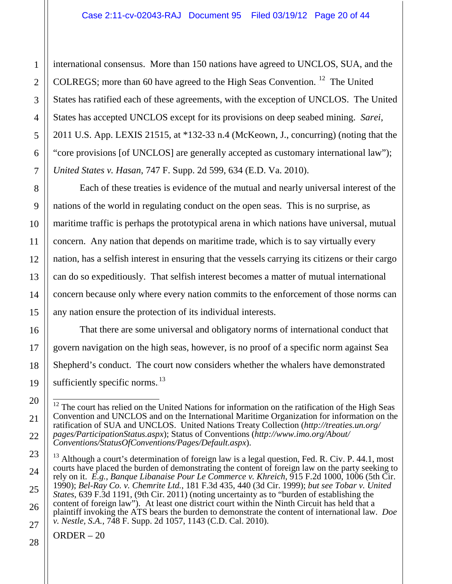international consensus. More than 150 nations have agreed to UNCLOS, SUA, and the COLREGS; more than 60 have agreed to the High Seas Convention.<sup>12</sup> The United States has ratified each of these agreements, with the exception of UNCLOS. The United States has accepted UNCLOS except for its provisions on deep seabed mining. *Sarei*, 2011 U.S. App. LEXIS 21515, at \*132-33 n.4 (McKeown, J., concurring) (noting that the "core provisions [of UNCLOS] are generally accepted as customary international law"); *United States v. Hasan*, 747 F. Supp. 2d 599, 634 (E.D. Va. 2010).

Each of these treaties is evidence of the mutual and nearly universal interest of the nations of the world in regulating conduct on the open seas. This is no surprise, as maritime traffic is perhaps the prototypical arena in which nations have universal, mutual concern. Any nation that depends on maritime trade, which is to say virtually every nation, has a selfish interest in ensuring that the vessels carrying its citizens or their cargo can do so expeditiously. That selfish interest becomes a matter of mutual international concern because only where every nation commits to the enforcement of those norms can any nation ensure the protection of its individual interests.

That there are some universal and obligatory norms of international conduct that govern navigation on the high seas, however, is no proof of a specific norm against Sea Shepherd's conduct. The court now considers whether the whalers have demonstrated sufficiently specific norms. $^{13}$ 

<sup>&</sup>lt;sup>12</sup> The court has relied on the United Nations for information on the ratification of the High Seas Convention and UNCLOS and on the International Maritime Organization for information on the ratification of SUA and UNCLOS. United Nations Treaty Collection (*http://treaties.un.org/ pages/ParticipationStatus.aspx*); Status of Conventions (*http://www.imo.org/About/ Conventions/StatusOfConventions/Pages/Default.aspx*).

 $13$  Although a court's determination of foreign law is a legal question, Fed. R. Civ. P. 44.1, most courts have placed the burden of demonstrating the content of foreign law on the party seeking to rely on it. *E.g.*, *Banque Libanaise Pour Le Commerce v. Khreich*, 915 F.2d 1000, 1006 (5th Cir. 1990); *Bel-Ray Co. v. Chemrite Ltd.*, 181 F.3d 435, 440 (3d Cir. 1999); *but see Tobar v. United States*, 639 F.3d 1191, (9th Cir. 2011) (noting uncertainty as to "burden of establishing the content of foreign law"). At least one district court within the Ninth Circuit has held that a plaintiff invoking the ATS bears the burden to demonstrate the content of international law. *Doe v. Nestle, S.A.*, 748 F. Supp. 2d 1057, 1143 (C.D. Cal. 2010).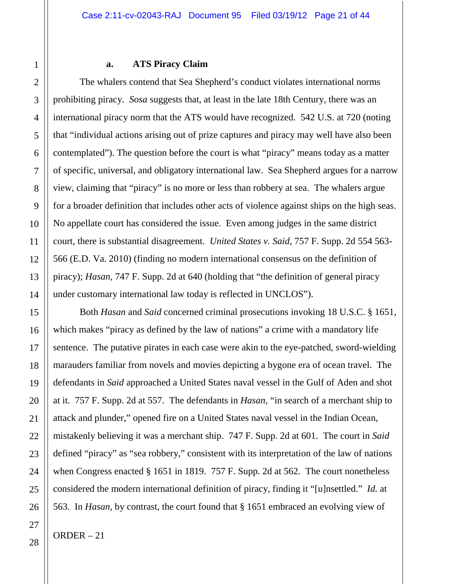#### **a. ATS Piracy Claim**

The whalers contend that Sea Shepherd's conduct violates international norms prohibiting piracy. *Sosa* suggests that, at least in the late 18th Century, there was an international piracy norm that the ATS would have recognized. 542 U.S. at 720 (noting that "individual actions arising out of prize captures and piracy may well have also been contemplated"). The question before the court is what "piracy" means today as a matter of specific, universal, and obligatory international law. Sea Shepherd argues for a narrow view, claiming that "piracy" is no more or less than robbery at sea. The whalers argue for a broader definition that includes other acts of violence against ships on the high seas. No appellate court has considered the issue. Even among judges in the same district court, there is substantial disagreement. *United States v. Said*, 757 F. Supp. 2d 554 563- 566 (E.D. Va. 2010) (finding no modern international consensus on the definition of piracy); *Hasan*, 747 F. Supp. 2d at 640 (holding that "the definition of general piracy under customary international law today is reflected in UNCLOS").

Both *Hasan* and *Said* concerned criminal prosecutions invoking 18 U.S.C. § 1651, which makes "piracy as defined by the law of nations" a crime with a mandatory life sentence. The putative pirates in each case were akin to the eye-patched, sword-wielding marauders familiar from novels and movies depicting a bygone era of ocean travel. The defendants in *Said* approached a United States naval vessel in the Gulf of Aden and shot at it. 757 F. Supp. 2d at 557. The defendants in *Hasan*, "in search of a merchant ship to attack and plunder," opened fire on a United States naval vessel in the Indian Ocean, mistakenly believing it was a merchant ship. 747 F. Supp. 2d at 601. The court in *Said* defined "piracy" as "sea robbery," consistent with its interpretation of the law of nations when Congress enacted § 1651 in 1819. 757 F. Supp. 2d at 562. The court nonetheless considered the modern international definition of piracy, finding it "[u]nsettled." *Id.* at 563. In *Hasan*, by contrast, the court found that § 1651 embraced an evolving view of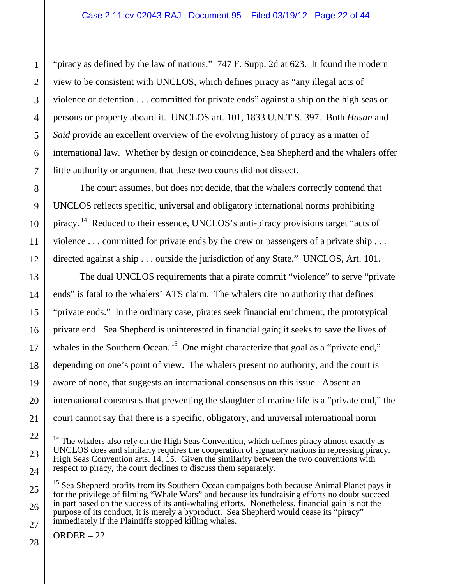"piracy as defined by the law of nations." 747 F. Supp. 2d at 623. It found the modern view to be consistent with UNCLOS, which defines piracy as "any illegal acts of violence or detention . . . committed for private ends" against a ship on the high seas or persons or property aboard it. UNCLOS art. 101, 1833 U.N.T.S. 397. Both *Hasan* and *Said* provide an excellent overview of the evolving history of piracy as a matter of international law. Whether by design or coincidence, Sea Shepherd and the whalers offer little authority or argument that these two courts did not dissect.

The court assumes, but does not decide, that the whalers correctly contend that UNCLOS reflects specific, universal and obligatory international norms prohibiting piracy.<sup>14</sup> Reduced to their essence, UNCLOS's anti-piracy provisions target "acts of violence . . . committed for private ends by the crew or passengers of a private ship . . . directed against a ship . . . outside the jurisdiction of any State." UNCLOS, Art. 101.

The dual UNCLOS requirements that a pirate commit "violence" to serve "private ends" is fatal to the whalers' ATS claim. The whalers cite no authority that defines "private ends." In the ordinary case, pirates seek financial enrichment, the prototypical private end. Sea Shepherd is uninterested in financial gain; it seeks to save the lives of whales in the Southern Ocean.<sup>15</sup> One might characterize that goal as a "private end," depending on one's point of view. The whalers present no authority, and the court is aware of none, that suggests an international consensus on this issue. Absent an international consensus that preventing the slaughter of marine life is a "private end," the court cannot say that there is a specific, obligatory, and universal international norm

<sup>&</sup>lt;sup>14</sup> The whalers also rely on the High Seas Convention, which defines piracy almost exactly as UNCLOS does and similarly requires the cooperation of signatory nations in repressing piracy. High Seas Convention arts. 14, 15. Given the similarity between the two conventions with respect to piracy, the court declines to discuss them separately.

<sup>&</sup>lt;sup>15</sup> Sea Shepherd profits from its Southern Ocean campaigns both because Animal Planet pays it for the privilege of filming "Whale Wars" and because its fundraising efforts no doubt succeed in part based on the success of its anti-whaling efforts. Nonetheless, financial gain is not the purpose of its conduct, it is merely a byproduct. Sea Shepherd would cease its "piracy" immediately if the Plaintiffs stopped killing whales.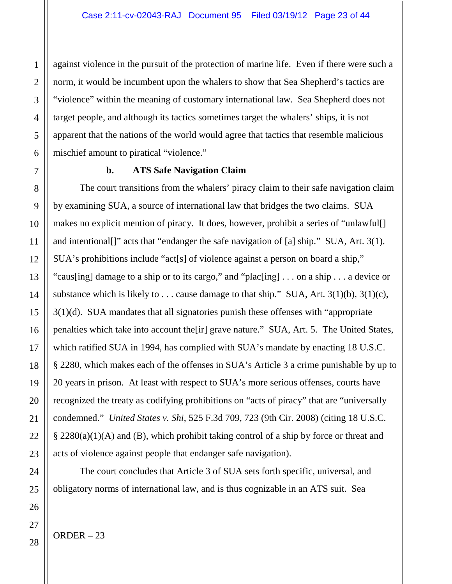against violence in the pursuit of the protection of marine life. Even if there were such a norm, it would be incumbent upon the whalers to show that Sea Shepherd's tactics are "violence" within the meaning of customary international law. Sea Shepherd does not target people, and although its tactics sometimes target the whalers' ships, it is not apparent that the nations of the world would agree that tactics that resemble malicious mischief amount to piratical "violence."

### **b. ATS Safe Navigation Claim**

The court transitions from the whalers' piracy claim to their safe navigation claim by examining SUA, a source of international law that bridges the two claims. SUA makes no explicit mention of piracy. It does, however, prohibit a series of "unlawful[] and intentional[]" acts that "endanger the safe navigation of [a] ship." SUA, Art. 3(1). SUA's prohibitions include "act[s] of violence against a person on board a ship," "caus[ing] damage to a ship or to its cargo," and "plac[ing] . . . on a ship . . . a device or substance which is likely to . . . cause damage to that ship." SUA, Art.  $3(1)(b)$ ,  $3(1)(c)$ , 3(1)(d). SUA mandates that all signatories punish these offenses with "appropriate penalties which take into account the[ir] grave nature." SUA, Art. 5. The United States, which ratified SUA in 1994, has complied with SUA's mandate by enacting 18 U.S.C. § 2280, which makes each of the offenses in SUA's Article 3 a crime punishable by up to 20 years in prison. At least with respect to SUA's more serious offenses, courts have recognized the treaty as codifying prohibitions on "acts of piracy" that are "universally condemned." *United States v. Shi*, 525 F.3d 709, 723 (9th Cir. 2008) (citing 18 U.S.C. § 2280(a)(1)(A) and (B), which prohibit taking control of a ship by force or threat and acts of violence against people that endanger safe navigation).

The court concludes that Article 3 of SUA sets forth specific, universal, and obligatory norms of international law, and is thus cognizable in an ATS suit. Sea

1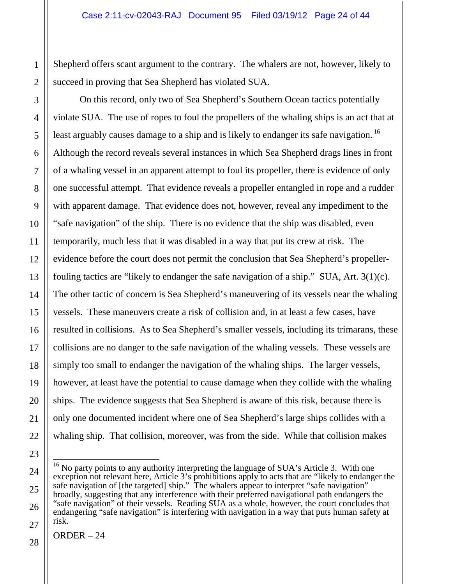Shepherd offers scant argument to the contrary. The whalers are not, however, likely to succeed in proving that Sea Shepherd has violated SUA.

On this record, only two of Sea Shepherd's Southern Ocean tactics potentially violate SUA. The use of ropes to foul the propellers of the whaling ships is an act that at least arguably causes damage to a ship and is likely to endanger its safe navigation.  $^{16}$ Although the record reveals several instances in which Sea Shepherd drags lines in front of a whaling vessel in an apparent attempt to foul its propeller, there is evidence of only one successful attempt. That evidence reveals a propeller entangled in rope and a rudder with apparent damage. That evidence does not, however, reveal any impediment to the "safe navigation" of the ship. There is no evidence that the ship was disabled, even temporarily, much less that it was disabled in a way that put its crew at risk. The evidence before the court does not permit the conclusion that Sea Shepherd's propellerfouling tactics are "likely to endanger the safe navigation of a ship." SUA, Art. 3(1)(c). The other tactic of concern is Sea Shepherd's maneuvering of its vessels near the whaling vessels. These maneuvers create a risk of collision and, in at least a few cases, have resulted in collisions. As to Sea Shepherd's smaller vessels, including its trimarans, these collisions are no danger to the safe navigation of the whaling vessels. These vessels are simply too small to endanger the navigation of the whaling ships. The larger vessels, however, at least have the potential to cause damage when they collide with the whaling ships. The evidence suggests that Sea Shepherd is aware of this risk, because there is only one documented incident where one of Sea Shepherd's large ships collides with a whaling ship. That collision, moreover, was from the side. While that collision makes

<sup>&</sup>lt;sup>16</sup> No party points to any authority interpreting the language of SUA's Article 3. With one exception not relevant here, Article 3's prohibitions apply to acts that are "likely to endanger the safe navigation of [the targeted] ship." The whalers appear to interpret "safe navigation" broadly, suggesting that any interference with their preferred navigational path endangers the "safe navigation" of their vessels. Reading SUA as a whole, however, the court concludes that endangering "safe navigation" is interfering with navigation in a way that puts human safety at risk.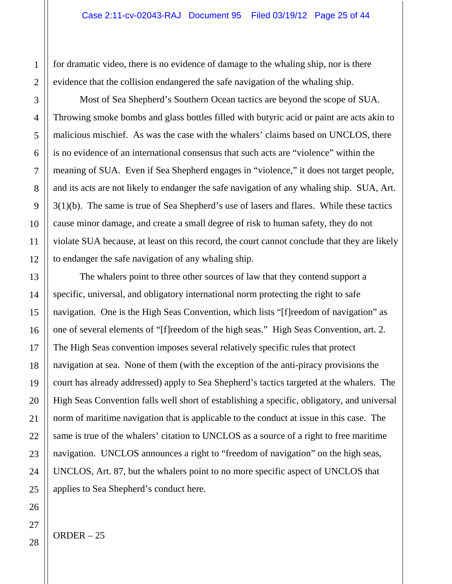for dramatic video, there is no evidence of damage to the whaling ship, nor is there evidence that the collision endangered the safe navigation of the whaling ship.

Most of Sea Shepherd's Southern Ocean tactics are beyond the scope of SUA. Throwing smoke bombs and glass bottles filled with butyric acid or paint are acts akin to malicious mischief. As was the case with the whalers' claims based on UNCLOS, there is no evidence of an international consensus that such acts are "violence" within the meaning of SUA. Even if Sea Shepherd engages in "violence," it does not target people, and its acts are not likely to endanger the safe navigation of any whaling ship. SUA, Art. 3(1)(b). The same is true of Sea Shepherd's use of lasers and flares. While these tactics cause minor damage, and create a small degree of risk to human safety, they do not violate SUA because, at least on this record, the court cannot conclude that they are likely to endanger the safe navigation of any whaling ship.

The whalers point to three other sources of law that they contend support a specific, universal, and obligatory international norm protecting the right to safe navigation. One is the High Seas Convention, which lists "[f]reedom of navigation" as one of several elements of "[f]reedom of the high seas." High Seas Convention, art. 2. The High Seas convention imposes several relatively specific rules that protect navigation at sea. None of them (with the exception of the anti-piracy provisions the court has already addressed) apply to Sea Shepherd's tactics targeted at the whalers. The High Seas Convention falls well short of establishing a specific, obligatory, and universal norm of maritime navigation that is applicable to the conduct at issue in this case. The same is true of the whalers' citation to UNCLOS as a source of a right to free maritime navigation. UNCLOS announces a right to "freedom of navigation" on the high seas, UNCLOS, Art. 87, but the whalers point to no more specific aspect of UNCLOS that applies to Sea Shepherd's conduct here.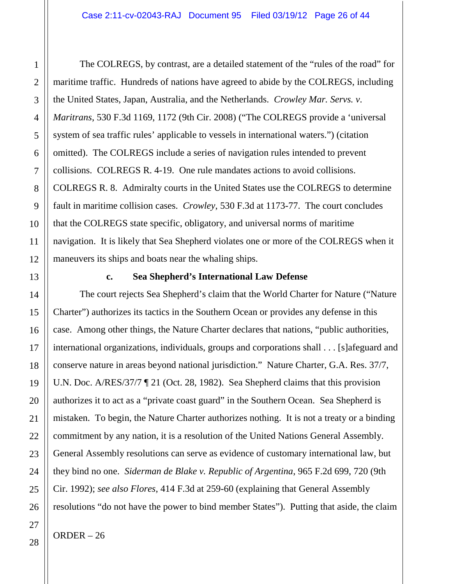The COLREGS, by contrast, are a detailed statement of the "rules of the road" for maritime traffic. Hundreds of nations have agreed to abide by the COLREGS, including the United States, Japan, Australia, and the Netherlands. *Crowley Mar. Servs. v. Maritrans*, 530 F.3d 1169, 1172 (9th Cir. 2008) ("The COLREGS provide a 'universal system of sea traffic rules' applicable to vessels in international waters.") (citation omitted). The COLREGS include a series of navigation rules intended to prevent collisions. COLREGS R. 4-19. One rule mandates actions to avoid collisions. COLREGS R. 8. Admiralty courts in the United States use the COLREGS to determine fault in maritime collision cases. *Crowley*, 530 F.3d at 1173-77. The court concludes that the COLREGS state specific, obligatory, and universal norms of maritime navigation. It is likely that Sea Shepherd violates one or more of the COLREGS when it maneuvers its ships and boats near the whaling ships.

#### **c. Sea Shepherd's International Law Defense**

The court rejects Sea Shepherd's claim that the World Charter for Nature ("Nature Charter") authorizes its tactics in the Southern Ocean or provides any defense in this case. Among other things, the Nature Charter declares that nations, "public authorities, international organizations, individuals, groups and corporations shall . . . [s]afeguard and conserve nature in areas beyond national jurisdiction." Nature Charter, G.A. Res. 37/7, U.N. Doc. A/RES/37/7 ¶ 21 (Oct. 28, 1982). Sea Shepherd claims that this provision authorizes it to act as a "private coast guard" in the Southern Ocean. Sea Shepherd is mistaken. To begin, the Nature Charter authorizes nothing. It is not a treaty or a binding commitment by any nation, it is a resolution of the United Nations General Assembly. General Assembly resolutions can serve as evidence of customary international law, but they bind no one. *Siderman de Blake v. Republic of Argentina*, 965 F.2d 699, 720 (9th Cir. 1992); *see also Flores*, 414 F.3d at 259-60 (explaining that General Assembly resolutions "do not have the power to bind member States"). Putting that aside, the claim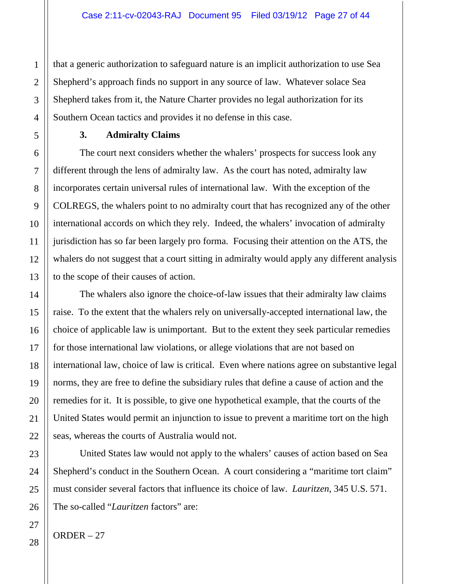that a generic authorization to safeguard nature is an implicit authorization to use Sea Shepherd's approach finds no support in any source of law. Whatever solace Sea Shepherd takes from it, the Nature Charter provides no legal authorization for its Southern Ocean tactics and provides it no defense in this case.

#### **3. Admiralty Claims**

The court next considers whether the whalers' prospects for success look any different through the lens of admiralty law. As the court has noted, admiralty law incorporates certain universal rules of international law. With the exception of the COLREGS, the whalers point to no admiralty court that has recognized any of the other international accords on which they rely. Indeed, the whalers' invocation of admiralty jurisdiction has so far been largely pro forma. Focusing their attention on the ATS, the whalers do not suggest that a court sitting in admiralty would apply any different analysis to the scope of their causes of action.

The whalers also ignore the choice-of-law issues that their admiralty law claims raise. To the extent that the whalers rely on universally-accepted international law, the choice of applicable law is unimportant. But to the extent they seek particular remedies for those international law violations, or allege violations that are not based on international law, choice of law is critical. Even where nations agree on substantive legal norms, they are free to define the subsidiary rules that define a cause of action and the remedies for it. It is possible, to give one hypothetical example, that the courts of the United States would permit an injunction to issue to prevent a maritime tort on the high seas, whereas the courts of Australia would not.

United States law would not apply to the whalers' causes of action based on Sea Shepherd's conduct in the Southern Ocean. A court considering a "maritime tort claim" must consider several factors that influence its choice of law. *Lauritzen*, 345 U.S. 571. The so-called "*Lauritzen* factors" are: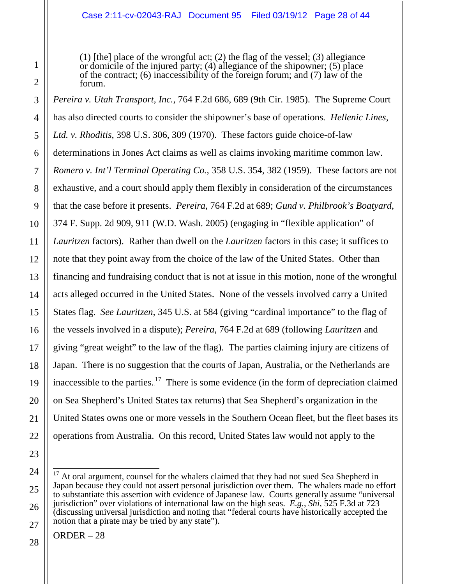(1) [the] place of the wrongful act; (2) the flag of the vessel; (3) allegiance or domicile of the injured party; (4) allegiance of the shipowner; (5) place of the contract; (6) inaccessibility of the foreign forum; and (7) law of the forum.

*Pereira v. Utah Transport, Inc.*, 764 F.2d 686, 689 (9th Cir. 1985). The Supreme Court has also directed courts to consider the shipowner's base of operations*. Hellenic Lines, Ltd. v. Rhoditis*, 398 U.S. 306, 309 (1970). These factors guide choice-of-law determinations in Jones Act claims as well as claims invoking maritime common law. *Romero v. Int'l Terminal Operating Co.*, 358 U.S. 354, 382 (1959). These factors are not exhaustive, and a court should apply them flexibly in consideration of the circumstances that the case before it presents. *Pereira*, 764 F.2d at 689; *Gund v. Philbrook's Boatyard*, 374 F. Supp. 2d 909, 911 (W.D. Wash. 2005) (engaging in "flexible application" of *Lauritzen* factors). Rather than dwell on the *Lauritzen* factors in this case; it suffices to note that they point away from the choice of the law of the United States. Other than financing and fundraising conduct that is not at issue in this motion, none of the wrongful acts alleged occurred in the United States. None of the vessels involved carry a United States flag. *See Lauritzen*, 345 U.S. at 584 (giving "cardinal importance" to the flag of the vessels involved in a dispute); *Pereira*, 764 F.2d at 689 (following *Lauritzen* and giving "great weight" to the law of the flag). The parties claiming injury are citizens of Japan. There is no suggestion that the courts of Japan, Australia, or the Netherlands are inaccessible to the parties. $17$  There is some evidence (in the form of depreciation claimed on Sea Shepherd's United States tax returns) that Sea Shepherd's organization in the United States owns one or more vessels in the Southern Ocean fleet, but the fleet bases its operations from Australia. On this record, United States law would not apply to the

<sup>&</sup>lt;sup>17</sup> At oral argument, counsel for the whalers claimed that they had not sued Sea Shepherd in Japan because they could not assert personal jurisdiction over them. The whalers made no effort to substantiate this assertion with evidence of Japanese law. Courts generally assume "universal jurisdiction" over violations of international law on the high seas. *E.g.*, *Shi*, 525 F.3d at 723 (discussing universal jurisdiction and noting that "federal courts have historically accepted the notion that a pirate may be tried by any state").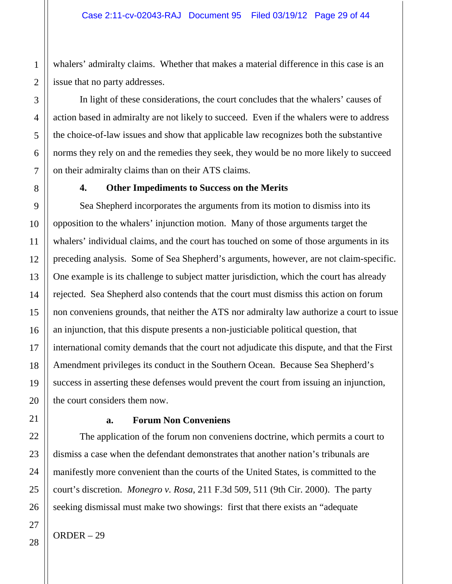whalers' admiralty claims. Whether that makes a material difference in this case is an issue that no party addresses.

In light of these considerations, the court concludes that the whalers' causes of action based in admiralty are not likely to succeed. Even if the whalers were to address the choice-of-law issues and show that applicable law recognizes both the substantive norms they rely on and the remedies they seek, they would be no more likely to succeed on their admiralty claims than on their ATS claims.

#### **4. Other Impediments to Success on the Merits**

Sea Shepherd incorporates the arguments from its motion to dismiss into its opposition to the whalers' injunction motion. Many of those arguments target the whalers' individual claims, and the court has touched on some of those arguments in its preceding analysis. Some of Sea Shepherd's arguments, however, are not claim-specific. One example is its challenge to subject matter jurisdiction, which the court has already rejected. Sea Shepherd also contends that the court must dismiss this action on forum non conveniens grounds, that neither the ATS nor admiralty law authorize a court to issue an injunction, that this dispute presents a non-justiciable political question, that international comity demands that the court not adjudicate this dispute, and that the First Amendment privileges its conduct in the Southern Ocean. Because Sea Shepherd's success in asserting these defenses would prevent the court from issuing an injunction, the court considers them now.

## **a. Forum Non Conveniens**

The application of the forum non conveniens doctrine, which permits a court to dismiss a case when the defendant demonstrates that another nation's tribunals are manifestly more convenient than the courts of the United States, is committed to the court's discretion. *Monegro v. Rosa*, 211 F.3d 509, 511 (9th Cir. 2000). The party seeking dismissal must make two showings: first that there exists an "adequate

1

2

3

4

5

6

7

8

9

10

11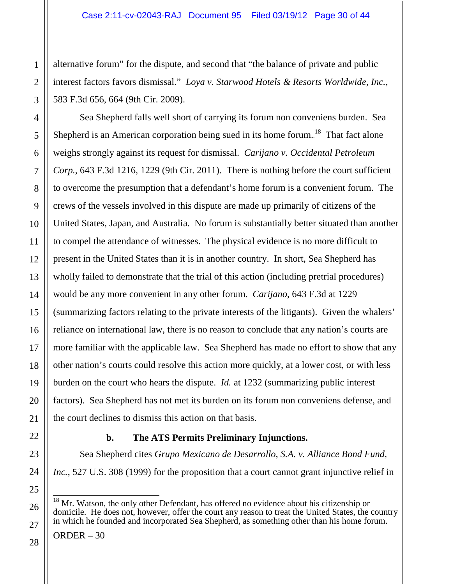alternative forum" for the dispute, and second that "the balance of private and public interest factors favors dismissal." *Loya v. Starwood Hotels & Resorts Worldwide, Inc.*, 583 F.3d 656, 664 (9th Cir. 2009).

Sea Shepherd falls well short of carrying its forum non conveniens burden. Sea Shepherd is an American corporation being sued in its home forum.<sup>18</sup> That fact alone weighs strongly against its request for dismissal. *Carijano v. Occidental Petroleum Corp.*, 643 F.3d 1216, 1229 (9th Cir. 2011). There is nothing before the court sufficient to overcome the presumption that a defendant's home forum is a convenient forum. The crews of the vessels involved in this dispute are made up primarily of citizens of the United States, Japan, and Australia. No forum is substantially better situated than another to compel the attendance of witnesses. The physical evidence is no more difficult to present in the United States than it is in another country. In short, Sea Shepherd has wholly failed to demonstrate that the trial of this action (including pretrial procedures) would be any more convenient in any other forum. *Carijano*, 643 F.3d at 1229 (summarizing factors relating to the private interests of the litigants). Given the whalers' reliance on international law, there is no reason to conclude that any nation's courts are more familiar with the applicable law. Sea Shepherd has made no effort to show that any other nation's courts could resolve this action more quickly, at a lower cost, or with less burden on the court who hears the dispute. *Id.* at 1232 (summarizing public interest factors). Sea Shepherd has not met its burden on its forum non conveniens defense, and the court declines to dismiss this action on that basis.

# **b. The ATS Permits Preliminary Injunctions.**

Sea Shepherd cites *Grupo Mexicano de Desarrollo, S.A. v. Alliance Bond Fund, Inc.*, 527 U.S. 308 (1999) for the proposition that a court cannot grant injunctive relief in

<sup>&</sup>lt;sup>18</sup> Mr. Watson, the only other Defendant, has offered no evidence about his citizenship or domicile. He does not, however, offer the court any reason to treat the United States, the country in which he founded and incorporated Sea Shepherd, as something other than his home forum.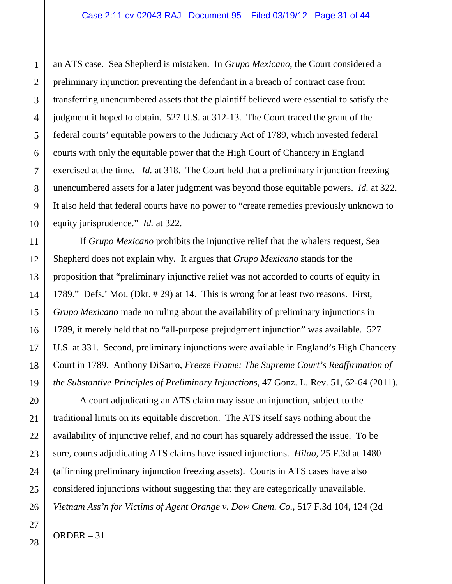an ATS case. Sea Shepherd is mistaken. In *Grupo Mexicano*, the Court considered a preliminary injunction preventing the defendant in a breach of contract case from transferring unencumbered assets that the plaintiff believed were essential to satisfy the judgment it hoped to obtain. 527 U.S. at 312-13. The Court traced the grant of the federal courts' equitable powers to the Judiciary Act of 1789, which invested federal courts with only the equitable power that the High Court of Chancery in England exercised at the time. *Id.* at 318. The Court held that a preliminary injunction freezing unencumbered assets for a later judgment was beyond those equitable powers. *Id.* at 322. It also held that federal courts have no power to "create remedies previously unknown to equity jurisprudence." *Id.* at 322.

If *Grupo Mexicano* prohibits the injunctive relief that the whalers request, Sea Shepherd does not explain why. It argues that *Grupo Mexicano* stands for the proposition that "preliminary injunctive relief was not accorded to courts of equity in 1789." Defs.' Mot. (Dkt. # 29) at 14. This is wrong for at least two reasons. First, *Grupo Mexicano* made no ruling about the availability of preliminary injunctions in 1789, it merely held that no "all-purpose prejudgment injunction" was available. 527 U.S. at 331. Second, preliminary injunctions were available in England's High Chancery Court in 1789. Anthony DiSarro, *Freeze Frame: The Supreme Court's Reaffirmation of the Substantive Principles of Preliminary Injunctions*, 47 Gonz. L. Rev. 51, 62-64 (2011).

A court adjudicating an ATS claim may issue an injunction, subject to the traditional limits on its equitable discretion. The ATS itself says nothing about the availability of injunctive relief, and no court has squarely addressed the issue. To be sure, courts adjudicating ATS claims have issued injunctions. *Hilao*, 25 F.3d at 1480 (affirming preliminary injunction freezing assets). Courts in ATS cases have also considered injunctions without suggesting that they are categorically unavailable. *Vietnam Ass'n for Victims of Agent Orange v. Dow Chem. Co.*, 517 F.3d 104, 124 (2d

1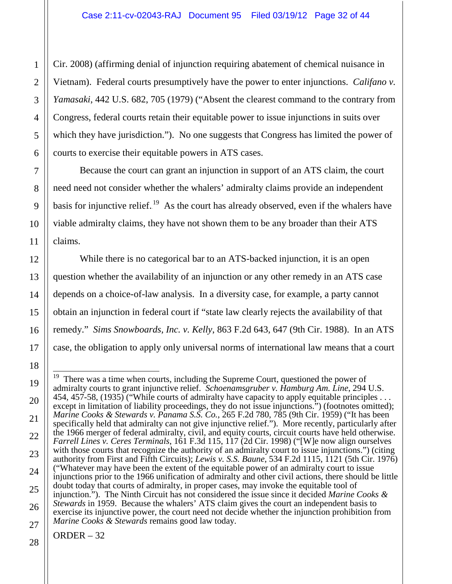Cir. 2008) (affirming denial of injunction requiring abatement of chemical nuisance in Vietnam). Federal courts presumptively have the power to enter injunctions. *Califano v. Yamasaki*, 442 U.S. 682, 705 (1979) ("Absent the clearest command to the contrary from Congress, federal courts retain their equitable power to issue injunctions in suits over which they have jurisdiction."). No one suggests that Congress has limited the power of courts to exercise their equitable powers in ATS cases.

Because the court can grant an injunction in support of an ATS claim, the court need need not consider whether the whalers' admiralty claims provide an independent basis for injunctive relief.<sup>19</sup> As the court has already observed, even if the whalers have viable admiralty claims, they have not shown them to be any broader than their ATS claims.

While there is no categorical bar to an ATS-backed injunction, it is an open question whether the availability of an injunction or any other remedy in an ATS case depends on a choice-of-law analysis. In a diversity case, for example, a party cannot obtain an injunction in federal court if "state law clearly rejects the availability of that remedy." *Sims Snowboards, Inc. v. Kelly*, 863 F.2d 643, 647 (9th Cir. 1988). In an ATS case, the obligation to apply only universal norms of international law means that a court

 $\overline{19}$  There was a time when courts, including the Supreme Court, questioned the power of admiralty courts to grant injunctive relief. *Schoenamsgruber v. Hamburg Am. Line*, 294 U.S. 454, 457-58, (1935) ("While courts of admiralty have capacity to apply equitable principles ... except in limitation of liability proceedings, they do not issue injunctions.") (footnotes omitted); *Marine Cooks & Stewards v. Panama S.S. Co.*, 265 F.2d 780, 785 (9th Cir. 1959) ("It has been specifically held that admiralty can not give injunctive relief."). More recently, particularly after the 1966 merger of federal admiralty, civil, and equity courts, circuit courts have held otherwise. *Farrell Lines v. Ceres Terminals*, 161 F.3d 115, 117 (2d Cir. 1998) ("[W]e now align ourselves with those courts that recognize the authority of an admiralty court to issue injunctions.") (citing authority from First and Fifth Circuits); *Lewis v. S.S. Baune*, 534 F.2d 1115, 1121 (5th Cir. 1976) ("Whatever may have been the extent of the equitable power of an admiralty court to issue injunctions prior to the 1966 unification of admiralty and other civil actions, there should be little doubt today that courts of admiralty, in proper cases, may invoke the equitable tool of injunction."). The Ninth Circuit has not considered the issue since it decided *Marine Cooks & Stewards* in 1959. Because the whalers' ATS claim gives the court an independent basis to exercise its injunctive power, the court need not decide whether the injunction prohibition from *Marine Cooks & Stewards* remains good law today.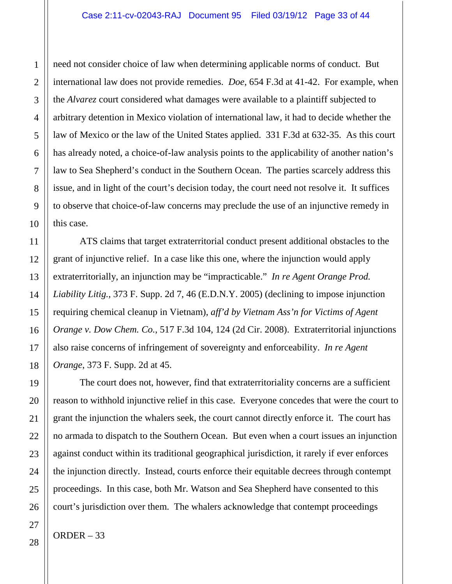need not consider choice of law when determining applicable norms of conduct. But international law does not provide remedies. *Doe*, 654 F.3d at 41-42. For example, when the *Alvarez* court considered what damages were available to a plaintiff subjected to arbitrary detention in Mexico violation of international law, it had to decide whether the law of Mexico or the law of the United States applied. 331 F.3d at 632-35. As this court has already noted, a choice-of-law analysis points to the applicability of another nation's law to Sea Shepherd's conduct in the Southern Ocean. The parties scarcely address this issue, and in light of the court's decision today, the court need not resolve it. It suffices to observe that choice-of-law concerns may preclude the use of an injunctive remedy in this case.

ATS claims that target extraterritorial conduct present additional obstacles to the grant of injunctive relief. In a case like this one, where the injunction would apply extraterritorially, an injunction may be "impracticable." *In re Agent Orange Prod. Liability Litig.*, 373 F. Supp. 2d 7, 46 (E.D.N.Y. 2005) (declining to impose injunction requiring chemical cleanup in Vietnam), *aff'd by Vietnam Ass'n for Victims of Agent Orange v. Dow Chem. Co.*, 517 F.3d 104, 124 (2d Cir. 2008). Extraterritorial injunctions also raise concerns of infringement of sovereignty and enforceability. *In re Agent Orange*, 373 F. Supp. 2d at 45.

The court does not, however, find that extraterritoriality concerns are a sufficient reason to withhold injunctive relief in this case. Everyone concedes that were the court to grant the injunction the whalers seek, the court cannot directly enforce it. The court has no armada to dispatch to the Southern Ocean. But even when a court issues an injunction against conduct within its traditional geographical jurisdiction, it rarely if ever enforces the injunction directly. Instead, courts enforce their equitable decrees through contempt proceedings. In this case, both Mr. Watson and Sea Shepherd have consented to this court's jurisdiction over them. The whalers acknowledge that contempt proceedings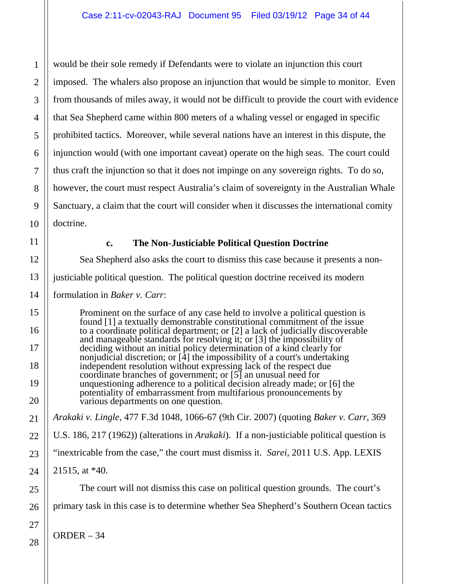would be their sole remedy if Defendants were to violate an injunction this court imposed. The whalers also propose an injunction that would be simple to monitor. Even from thousands of miles away, it would not be difficult to provide the court with evidence that Sea Shepherd came within 800 meters of a whaling vessel or engaged in specific prohibited tactics. Moreover, while several nations have an interest in this dispute, the injunction would (with one important caveat) operate on the high seas. The court could thus craft the injunction so that it does not impinge on any sovereign rights. To do so, however, the court must respect Australia's claim of sovereignty in the Australian Whale Sanctuary, a claim that the court will consider when it discusses the international comity doctrine.

#### **c. The Non-Justiciable Political Question Doctrine**

Sea Shepherd also asks the court to dismiss this case because it presents a nonjusticiable political question. The political question doctrine received its modern formulation in *Baker v. Carr*:

Prominent on the surface of any case held to involve a political question is found [1] a textually demonstrable constitutional commitment of the issue to a coordinate political department; or [2] a lack of judicially discoverable and manageable standards for resolving it; or [3] the impossibility of deciding without an initial policy determination of a kind clearly for nonjudicial discretion; or [4] the impossibility of a court's undertaking independent resolution without expressing lack of the respect due coordinate branches of government; or [5] an unusual need for unquestioning adherence to a political decision already made; or [6] the potentiality of embarrassment from multifarious pronouncements by various departments on one question.

*Arakaki v. Lingle*, 477 F.3d 1048, 1066-67 (9th Cir. 2007) (quoting *Baker v. Carr*, 369 U.S. 186, 217 (1962)) (alterations in *Arakaki*). If a non-justiciable political question is "inextricable from the case," the court must dismiss it. *Sarei*, 2011 U.S. App. LEXIS 21515, at \*40.

The court will not dismiss this case on political question grounds. The court's primary task in this case is to determine whether Sea Shepherd's Southern Ocean tactics

ORDER – 34

1

2

3

4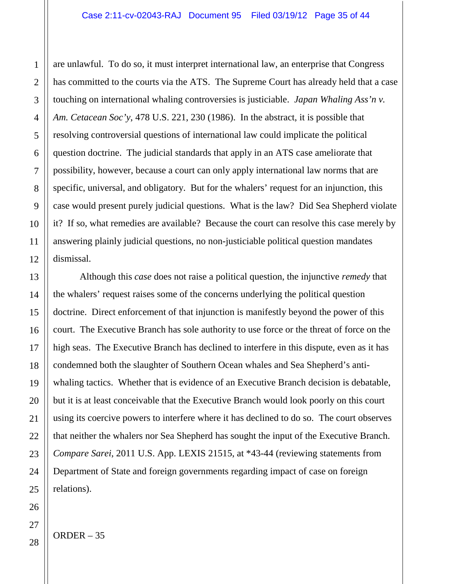are unlawful. To do so, it must interpret international law, an enterprise that Congress has committed to the courts via the ATS. The Supreme Court has already held that a case touching on international whaling controversies is justiciable. *Japan Whaling Ass'n v. Am. Cetacean Soc'y*, 478 U.S. 221, 230 (1986). In the abstract, it is possible that resolving controversial questions of international law could implicate the political question doctrine. The judicial standards that apply in an ATS case ameliorate that possibility, however, because a court can only apply international law norms that are specific, universal, and obligatory. But for the whalers' request for an injunction, this case would present purely judicial questions. What is the law? Did Sea Shepherd violate it? If so, what remedies are available? Because the court can resolve this case merely by answering plainly judicial questions, no non-justiciable political question mandates dismissal.

Although this *case* does not raise a political question, the injunctive *remedy* that the whalers' request raises some of the concerns underlying the political question doctrine. Direct enforcement of that injunction is manifestly beyond the power of this court. The Executive Branch has sole authority to use force or the threat of force on the high seas. The Executive Branch has declined to interfere in this dispute, even as it has condemned both the slaughter of Southern Ocean whales and Sea Shepherd's antiwhaling tactics. Whether that is evidence of an Executive Branch decision is debatable, but it is at least conceivable that the Executive Branch would look poorly on this court using its coercive powers to interfere where it has declined to do so. The court observes that neither the whalers nor Sea Shepherd has sought the input of the Executive Branch. *Compare Sarei*, 2011 U.S. App. LEXIS 21515, at \*43-44 (reviewing statements from Department of State and foreign governments regarding impact of case on foreign relations).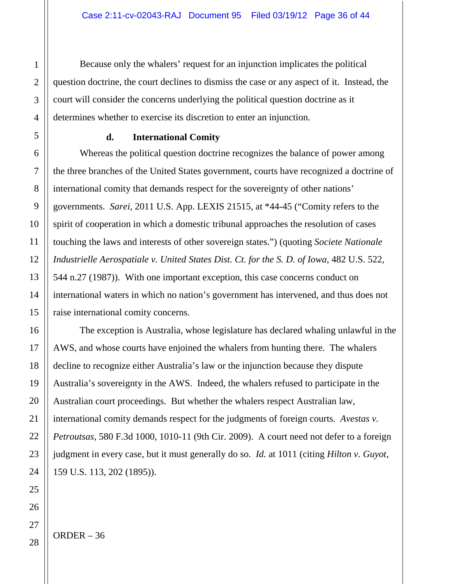Because only the whalers' request for an injunction implicates the political question doctrine, the court declines to dismiss the case or any aspect of it. Instead, the court will consider the concerns underlying the political question doctrine as it determines whether to exercise its discretion to enter an injunction.

#### **d. International Comity**

Whereas the political question doctrine recognizes the balance of power among the three branches of the United States government, courts have recognized a doctrine of international comity that demands respect for the sovereignty of other nations' governments. *Sarei*, 2011 U.S. App. LEXIS 21515, at \*44-45 ("Comity refers to the spirit of cooperation in which a domestic tribunal approaches the resolution of cases touching the laws and interests of other sovereign states.") (quoting *Societe Nationale Industrielle Aerospatiale v. United States Dist. Ct. for the S. D. of Iowa*, 482 U.S. 522, 544 n.27 (1987)). With one important exception, this case concerns conduct on international waters in which no nation's government has intervened, and thus does not raise international comity concerns.

The exception is Australia, whose legislature has declared whaling unlawful in the AWS, and whose courts have enjoined the whalers from hunting there. The whalers decline to recognize either Australia's law or the injunction because they dispute Australia's sovereignty in the AWS. Indeed, the whalers refused to participate in the Australian court proceedings. But whether the whalers respect Australian law, international comity demands respect for the judgments of foreign courts. *Avestas v. Petroutsas*, 580 F.3d 1000, 1010-11 (9th Cir. 2009). A court need not defer to a foreign judgment in every case, but it must generally do so. *Id.* at 1011 (citing *Hilton v. Guyot*, 159 U.S. 113, 202 (1895)).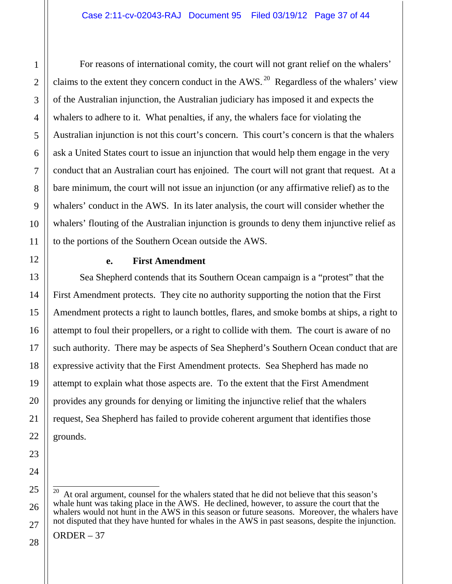For reasons of international comity, the court will not grant relief on the whalers' claims to the extent they concern conduct in the AWS.<sup>20</sup> Regardless of the whalers' view of the Australian injunction, the Australian judiciary has imposed it and expects the whalers to adhere to it. What penalties, if any, the whalers face for violating the Australian injunction is not this court's concern. This court's concern is that the whalers ask a United States court to issue an injunction that would help them engage in the very conduct that an Australian court has enjoined. The court will not grant that request. At a bare minimum, the court will not issue an injunction (or any affirmative relief) as to the whalers' conduct in the AWS. In its later analysis, the court will consider whether the whalers' flouting of the Australian injunction is grounds to deny them injunctive relief as to the portions of the Southern Ocean outside the AWS.

#### **e. First Amendment**

Sea Shepherd contends that its Southern Ocean campaign is a "protest" that the First Amendment protects. They cite no authority supporting the notion that the First Amendment protects a right to launch bottles, flares, and smoke bombs at ships, a right to attempt to foul their propellers, or a right to collide with them. The court is aware of no such authority. There may be aspects of Sea Shepherd's Southern Ocean conduct that are expressive activity that the First Amendment protects. Sea Shepherd has made no attempt to explain what those aspects are. To the extent that the First Amendment provides any grounds for denying or limiting the injunctive relief that the whalers request, Sea Shepherd has failed to provide coherent argument that identifies those grounds.

At oral argument, counsel for the whalers stated that he did not believe that this season's whale hunt was taking place in the AWS. He declined, however, to assure the court that the whalers would not hunt in the AWS in this season or future seasons. Moreover, the whalers have not disputed that they have hunted for whales in the AWS in past seasons, despite the injunction.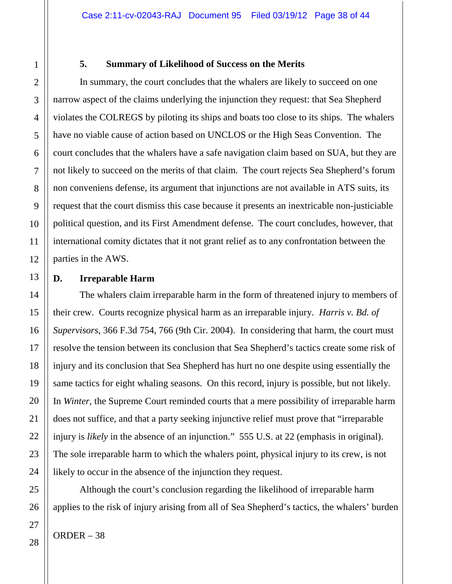#### **5. Summary of Likelihood of Success on the Merits**

In summary, the court concludes that the whalers are likely to succeed on one narrow aspect of the claims underlying the injunction they request: that Sea Shepherd violates the COLREGS by piloting its ships and boats too close to its ships. The whalers have no viable cause of action based on UNCLOS or the High Seas Convention. The court concludes that the whalers have a safe navigation claim based on SUA, but they are not likely to succeed on the merits of that claim. The court rejects Sea Shepherd's forum non conveniens defense, its argument that injunctions are not available in ATS suits, its request that the court dismiss this case because it presents an inextricable non-justiciable political question, and its First Amendment defense. The court concludes, however, that international comity dictates that it not grant relief as to any confrontation between the parties in the AWS.

#### **D. Irreparable Harm**

The whalers claim irreparable harm in the form of threatened injury to members of their crew. Courts recognize physical harm as an irreparable injury. *Harris v. Bd. of Supervisors*, 366 F.3d 754, 766 (9th Cir. 2004). In considering that harm, the court must resolve the tension between its conclusion that Sea Shepherd's tactics create some risk of injury and its conclusion that Sea Shepherd has hurt no one despite using essentially the same tactics for eight whaling seasons. On this record, injury is possible, but not likely. In *Winter*, the Supreme Court reminded courts that a mere possibility of irreparable harm does not suffice, and that a party seeking injunctive relief must prove that "irreparable injury is *likely* in the absence of an injunction." 555 U.S. at 22 (emphasis in original). The sole irreparable harm to which the whalers point, physical injury to its crew, is not likely to occur in the absence of the injunction they request.

Although the court's conclusion regarding the likelihood of irreparable harm applies to the risk of injury arising from all of Sea Shepherd's tactics, the whalers' burden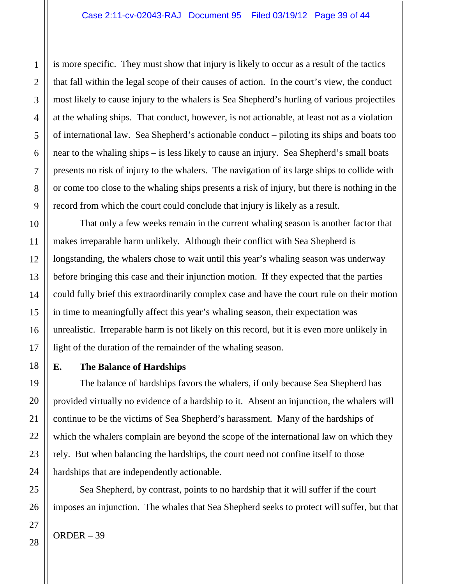is more specific. They must show that injury is likely to occur as a result of the tactics that fall within the legal scope of their causes of action. In the court's view, the conduct most likely to cause injury to the whalers is Sea Shepherd's hurling of various projectiles at the whaling ships. That conduct, however, is not actionable, at least not as a violation of international law. Sea Shepherd's actionable conduct – piloting its ships and boats too near to the whaling ships – is less likely to cause an injury. Sea Shepherd's small boats presents no risk of injury to the whalers. The navigation of its large ships to collide with or come too close to the whaling ships presents a risk of injury, but there is nothing in the record from which the court could conclude that injury is likely as a result.

That only a few weeks remain in the current whaling season is another factor that makes irreparable harm unlikely. Although their conflict with Sea Shepherd is longstanding, the whalers chose to wait until this year's whaling season was underway before bringing this case and their injunction motion. If they expected that the parties could fully brief this extraordinarily complex case and have the court rule on their motion in time to meaningfully affect this year's whaling season, their expectation was unrealistic. Irreparable harm is not likely on this record, but it is even more unlikely in light of the duration of the remainder of the whaling season.

#### **E. The Balance of Hardships**

The balance of hardships favors the whalers, if only because Sea Shepherd has provided virtually no evidence of a hardship to it. Absent an injunction, the whalers will continue to be the victims of Sea Shepherd's harassment. Many of the hardships of which the whalers complain are beyond the scope of the international law on which they rely. But when balancing the hardships, the court need not confine itself to those hardships that are independently actionable.

Sea Shepherd, by contrast, points to no hardship that it will suffer if the court imposes an injunction. The whales that Sea Shepherd seeks to protect will suffer, but that

1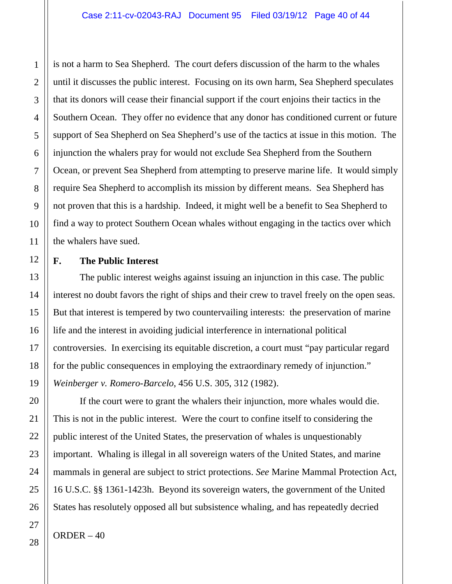is not a harm to Sea Shepherd. The court defers discussion of the harm to the whales until it discusses the public interest. Focusing on its own harm, Sea Shepherd speculates that its donors will cease their financial support if the court enjoins their tactics in the Southern Ocean. They offer no evidence that any donor has conditioned current or future support of Sea Shepherd on Sea Shepherd's use of the tactics at issue in this motion. The injunction the whalers pray for would not exclude Sea Shepherd from the Southern Ocean, or prevent Sea Shepherd from attempting to preserve marine life. It would simply require Sea Shepherd to accomplish its mission by different means. Sea Shepherd has not proven that this is a hardship. Indeed, it might well be a benefit to Sea Shepherd to find a way to protect Southern Ocean whales without engaging in the tactics over which the whalers have sued.

## **F. The Public Interest**

The public interest weighs against issuing an injunction in this case. The public interest no doubt favors the right of ships and their crew to travel freely on the open seas. But that interest is tempered by two countervailing interests: the preservation of marine life and the interest in avoiding judicial interference in international political controversies. In exercising its equitable discretion, a court must "pay particular regard for the public consequences in employing the extraordinary remedy of injunction." *Weinberger v. Romero-Barcelo*, 456 U.S. 305, 312 (1982).

If the court were to grant the whalers their injunction, more whales would die. This is not in the public interest. Were the court to confine itself to considering the public interest of the United States, the preservation of whales is unquestionably important. Whaling is illegal in all sovereign waters of the United States, and marine mammals in general are subject to strict protections. *See* Marine Mammal Protection Act, 16 U.S.C. §§ 1361-1423h. Beyond its sovereign waters, the government of the United States has resolutely opposed all but subsistence whaling, and has repeatedly decried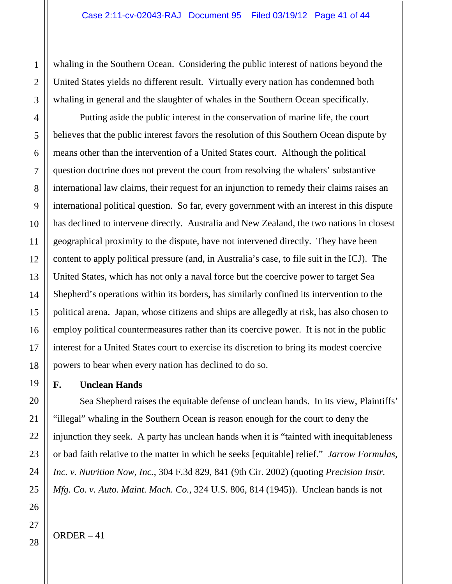whaling in the Southern Ocean. Considering the public interest of nations beyond the United States yields no different result. Virtually every nation has condemned both whaling in general and the slaughter of whales in the Southern Ocean specifically.

Putting aside the public interest in the conservation of marine life, the court believes that the public interest favors the resolution of this Southern Ocean dispute by means other than the intervention of a United States court. Although the political question doctrine does not prevent the court from resolving the whalers' substantive international law claims, their request for an injunction to remedy their claims raises an international political question. So far, every government with an interest in this dispute has declined to intervene directly. Australia and New Zealand, the two nations in closest geographical proximity to the dispute, have not intervened directly. They have been content to apply political pressure (and, in Australia's case, to file suit in the ICJ). The United States, which has not only a naval force but the coercive power to target Sea Shepherd's operations within its borders, has similarly confined its intervention to the political arena. Japan, whose citizens and ships are allegedly at risk, has also chosen to employ political countermeasures rather than its coercive power. It is not in the public interest for a United States court to exercise its discretion to bring its modest coercive powers to bear when every nation has declined to do so.

#### **F. Unclean Hands**

Sea Shepherd raises the equitable defense of unclean hands. In its view, Plaintiffs' "illegal" whaling in the Southern Ocean is reason enough for the court to deny the injunction they seek. A party has unclean hands when it is "tainted with inequitableness or bad faith relative to the matter in which he seeks [equitable] relief." *Jarrow Formulas, Inc. v. Nutrition Now, Inc.*, 304 F.3d 829, 841 (9th Cir. 2002) (quoting *Precision Instr. Mfg. Co. v. Auto. Maint. Mach. Co.*, 324 U.S. 806, 814 (1945)). Unclean hands is not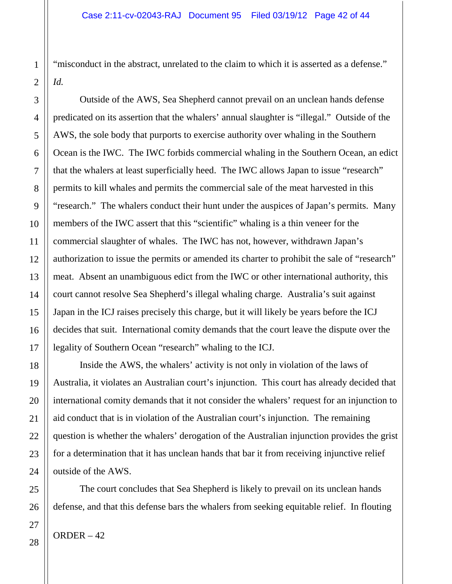"misconduct in the abstract, unrelated to the claim to which it is asserted as a defense." *Id.*

Outside of the AWS, Sea Shepherd cannot prevail on an unclean hands defense predicated on its assertion that the whalers' annual slaughter is "illegal." Outside of the AWS, the sole body that purports to exercise authority over whaling in the Southern Ocean is the IWC. The IWC forbids commercial whaling in the Southern Ocean, an edict that the whalers at least superficially heed. The IWC allows Japan to issue "research" permits to kill whales and permits the commercial sale of the meat harvested in this "research." The whalers conduct their hunt under the auspices of Japan's permits. Many members of the IWC assert that this "scientific" whaling is a thin veneer for the commercial slaughter of whales. The IWC has not, however, withdrawn Japan's authorization to issue the permits or amended its charter to prohibit the sale of "research" meat. Absent an unambiguous edict from the IWC or other international authority, this court cannot resolve Sea Shepherd's illegal whaling charge. Australia's suit against Japan in the ICJ raises precisely this charge, but it will likely be years before the ICJ decides that suit. International comity demands that the court leave the dispute over the legality of Southern Ocean "research" whaling to the ICJ.

Inside the AWS, the whalers' activity is not only in violation of the laws of Australia, it violates an Australian court's injunction. This court has already decided that international comity demands that it not consider the whalers' request for an injunction to aid conduct that is in violation of the Australian court's injunction. The remaining question is whether the whalers' derogation of the Australian injunction provides the grist for a determination that it has unclean hands that bar it from receiving injunctive relief outside of the AWS.

The court concludes that Sea Shepherd is likely to prevail on its unclean hands defense, and that this defense bars the whalers from seeking equitable relief. In flouting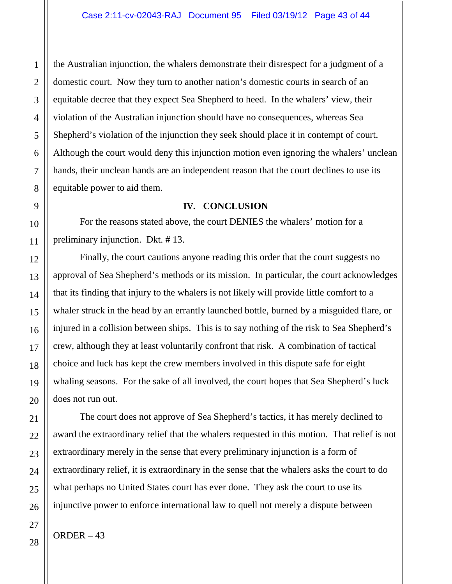the Australian injunction, the whalers demonstrate their disrespect for a judgment of a domestic court. Now they turn to another nation's domestic courts in search of an equitable decree that they expect Sea Shepherd to heed. In the whalers' view, their violation of the Australian injunction should have no consequences, whereas Sea Shepherd's violation of the injunction they seek should place it in contempt of court. Although the court would deny this injunction motion even ignoring the whalers' unclean hands, their unclean hands are an independent reason that the court declines to use its equitable power to aid them.

#### **IV. CONCLUSION**

For the reasons stated above, the court DENIES the whalers' motion for a preliminary injunction. Dkt. # 13.

Finally, the court cautions anyone reading this order that the court suggests no approval of Sea Shepherd's methods or its mission. In particular, the court acknowledges that its finding that injury to the whalers is not likely will provide little comfort to a whaler struck in the head by an errantly launched bottle, burned by a misguided flare, or injured in a collision between ships. This is to say nothing of the risk to Sea Shepherd's crew, although they at least voluntarily confront that risk. A combination of tactical choice and luck has kept the crew members involved in this dispute safe for eight whaling seasons. For the sake of all involved, the court hopes that Sea Shepherd's luck does not run out.

The court does not approve of Sea Shepherd's tactics, it has merely declined to award the extraordinary relief that the whalers requested in this motion. That relief is not extraordinary merely in the sense that every preliminary injunction is a form of extraordinary relief, it is extraordinary in the sense that the whalers asks the court to do what perhaps no United States court has ever done. They ask the court to use its injunctive power to enforce international law to quell not merely a dispute between